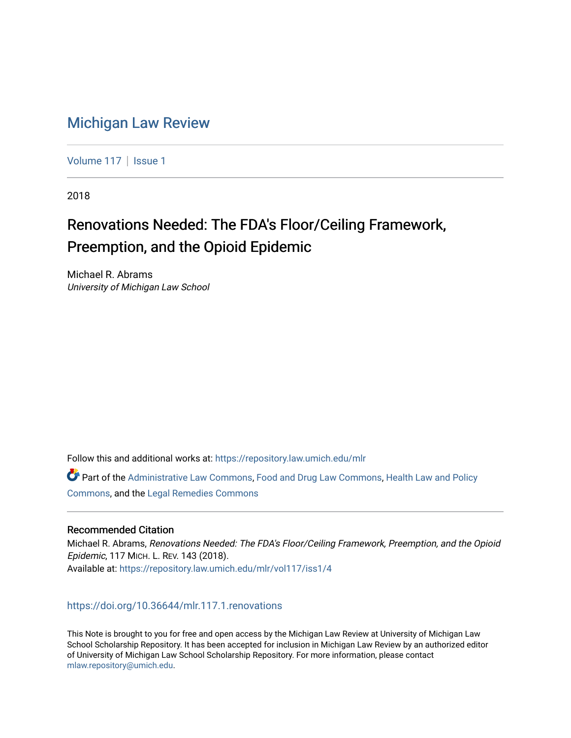## [Michigan Law Review](https://repository.law.umich.edu/mlr)

[Volume 117](https://repository.law.umich.edu/mlr/vol117) | [Issue 1](https://repository.law.umich.edu/mlr/vol117/iss1)

2018

# Renovations Needed: The FDA's Floor/Ceiling Framework, Preemption, and the Opioid Epidemic

Michael R. Abrams University of Michigan Law School

Follow this and additional works at: [https://repository.law.umich.edu/mlr](https://repository.law.umich.edu/mlr?utm_source=repository.law.umich.edu%2Fmlr%2Fvol117%2Fiss1%2F4&utm_medium=PDF&utm_campaign=PDFCoverPages) 

Part of the [Administrative Law Commons,](http://network.bepress.com/hgg/discipline/579?utm_source=repository.law.umich.edu%2Fmlr%2Fvol117%2Fiss1%2F4&utm_medium=PDF&utm_campaign=PDFCoverPages) [Food and Drug Law Commons,](http://network.bepress.com/hgg/discipline/844?utm_source=repository.law.umich.edu%2Fmlr%2Fvol117%2Fiss1%2F4&utm_medium=PDF&utm_campaign=PDFCoverPages) [Health Law and Policy](http://network.bepress.com/hgg/discipline/901?utm_source=repository.law.umich.edu%2Fmlr%2Fvol117%2Fiss1%2F4&utm_medium=PDF&utm_campaign=PDFCoverPages) [Commons](http://network.bepress.com/hgg/discipline/901?utm_source=repository.law.umich.edu%2Fmlr%2Fvol117%2Fiss1%2F4&utm_medium=PDF&utm_campaign=PDFCoverPages), and the [Legal Remedies Commons](http://network.bepress.com/hgg/discipline/618?utm_source=repository.law.umich.edu%2Fmlr%2Fvol117%2Fiss1%2F4&utm_medium=PDF&utm_campaign=PDFCoverPages)

## Recommended Citation

Michael R. Abrams, Renovations Needed: The FDA's Floor/Ceiling Framework, Preemption, and the Opioid Epidemic, 117 MICH. L. REV. 143 (2018). Available at: [https://repository.law.umich.edu/mlr/vol117/iss1/4](https://repository.law.umich.edu/mlr/vol117/iss1/4?utm_source=repository.law.umich.edu%2Fmlr%2Fvol117%2Fiss1%2F4&utm_medium=PDF&utm_campaign=PDFCoverPages) 

<https://doi.org/10.36644/mlr.117.1.renovations>

This Note is brought to you for free and open access by the Michigan Law Review at University of Michigan Law School Scholarship Repository. It has been accepted for inclusion in Michigan Law Review by an authorized editor of University of Michigan Law School Scholarship Repository. For more information, please contact [mlaw.repository@umich.edu.](mailto:mlaw.repository@umich.edu)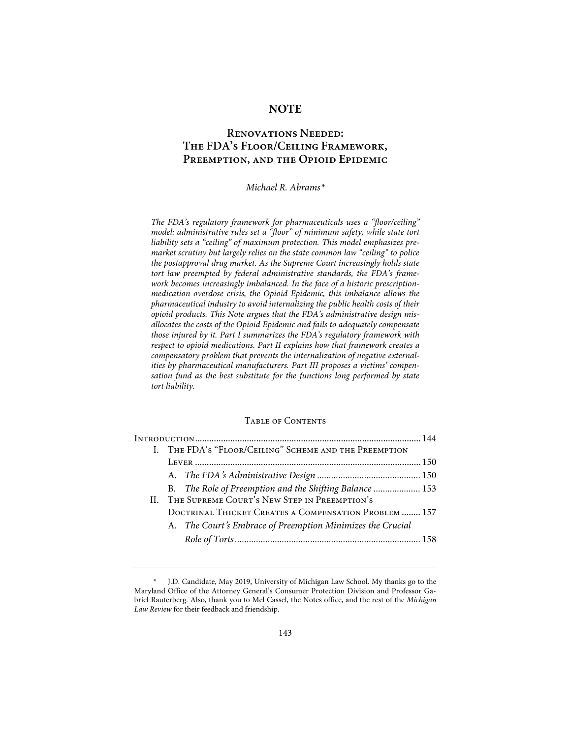## **NOTE**

## **Renovations Needed: The FDA's Floor/Ceiling Framework, Preemption, and the Opioid Epidemic**

## *Michael R. Abrams\**

*The FDA's regulatory framework for pharmaceuticals uses a "floor/ceiling" model: administrative rules set a "floor" of minimum safety, while state tort liability sets a "ceiling" of maximum protection. This model emphasizes premarket scrutiny but largely relies on the state common law "ceiling" to police the postapproval drug market. As the Supreme Court increasingly holds state tort law preempted by federal administrative standards, the FDA's framework becomes increasingly imbalanced. In the face of a historic prescriptionmedication overdose crisis, the Opioid Epidemic, this imbalance allows the pharmaceutical industry to avoid internalizing the public health costs of their opioid products. This Note argues that the FDA's administrative design misallocates the costs of the Opioid Epidemic and fails to adequately compensate those injured by it. Part I summarizes the FDA's regulatory framework with respect to opioid medications. Part II explains how that framework creates a compensatory problem that prevents the internalization of negative externalities by pharmaceutical manufacturers. Part III proposes a victims' compensation fund as the best substitute for the functions long performed by state tort liability.*

## Table of Contents

| I. THE FDA's "FLOOR/CEILING" SCHEME AND THE PREEMPTION     |  |
|------------------------------------------------------------|--|
|                                                            |  |
|                                                            |  |
| B. The Role of Preemption and the Shifting Balance  153    |  |
| II. THE SUPREME COURT'S NEW STEP IN PREEMPTION'S           |  |
| DOCTRINAL THICKET CREATES A COMPENSATION PROBLEM  157      |  |
| A. The Court's Embrace of Preemption Minimizes the Crucial |  |
|                                                            |  |

<sup>\*</sup> J.D. Candidate, May 2019, University of Michigan Law School. My thanks go to the Maryland Office of the Attorney General's Consumer Protection Division and Professor Gabriel Rauterberg. Also, thank you to Mel Cassel, the Notes office, and the rest of the *Michigan Law Review* for their feedback and friendship.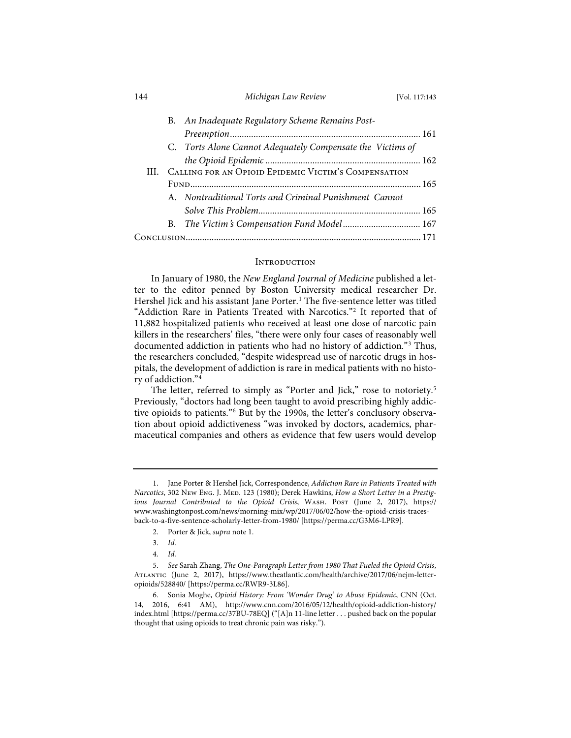| 144 | Michigan Law Review | [Vol. 117:143 |
|-----|---------------------|---------------|
|-----|---------------------|---------------|

|  | B. An Inadequate Regulatory Scheme Remains Post-           |  |
|--|------------------------------------------------------------|--|
|  |                                                            |  |
|  | C. Torts Alone Cannot Adequately Compensate the Victims of |  |
|  |                                                            |  |
|  | III. CALLING FOR AN OPIOID EPIDEMIC VICTIM'S COMPENSATION  |  |
|  |                                                            |  |
|  | A. Nontraditional Torts and Criminal Punishment Cannot     |  |
|  |                                                            |  |
|  |                                                            |  |
|  |                                                            |  |
|  |                                                            |  |

## **INTRODUCTION**

In January of 1980, the *New England Journal of Medicine* published a letter to the editor penned by Boston University medical researcher Dr. Hershel Jick and his assistant Jane Porter.<sup>1</sup> The five-sentence letter was titled "Addiction Rare in Patients Treated with Narcotics."2 It reported that of 11,882 hospitalized patients who received at least one dose of narcotic pain killers in the researchers' files, "there were only four cases of reasonably well documented addiction in patients who had no history of addiction."3 Thus, the researchers concluded, "despite widespread use of narcotic drugs in hospitals, the development of addiction is rare in medical patients with no history of addiction."4

The letter, referred to simply as "Porter and Jick," rose to notoriety.<sup>5</sup> Previously, "doctors had long been taught to avoid prescribing highly addictive opioids to patients."6 But by the 1990s, the letter's conclusory observation about opioid addictiveness "was invoked by doctors, academics, pharmaceutical companies and others as evidence that few users would develop

<sup>1.</sup> Jane Porter & Hershel Jick, Correspondence, *Addiction Rare in Patients Treated with Narcotics*, 302 New Eng. J. Med. 123 (1980); Derek Hawkins, *How a Short Letter in a Prestigious Journal Contributed to the Opioid Crisis*, Wash. Post (June 2, 2017), https:// www.washingtonpost.com/news/morning-mix/wp/2017/06/02/how-the-opioid-crisis-tracesback-to-a-five-sentence-scholarly-letter-from-1980/ [https://perma.cc/G3M6-LPR9].

<sup>2.</sup> Porter & Jick, *supra* note 1.

<sup>3.</sup> *Id.*

<sup>4.</sup> *Id.*

<sup>5.</sup> *See* Sarah Zhang, *The One-Paragraph Letter from 1980 That Fueled the Opioid Crisis*, Atlantic (June 2, 2017), https://www.theatlantic.com/health/archive/2017/06/nejm-letteropioids/528840/ [https://perma.cc/RWR9-3L86].

<sup>6.</sup> Sonia Moghe, *Opioid History: From 'Wonder Drug' to Abuse Epidemic*, CNN (Oct. 14, 2016, 6:41 AM), http://www.cnn.com/2016/05/12/health/opioid-addiction-history/ index.html [https://perma.cc/37BU-78EQ] ("[A]n 11-line letter . . . pushed back on the popular thought that using opioids to treat chronic pain was risky.").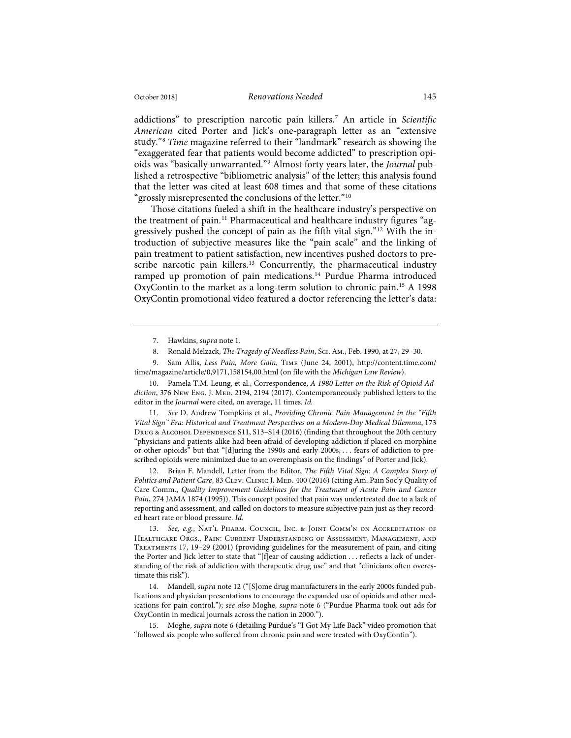addictions" to prescription narcotic pain killers.7 An article in *Scientific American* cited Porter and Jick's one-paragraph letter as an "extensive study."8 *Time* magazine referred to their "landmark" research as showing the "exaggerated fear that patients would become addicted" to prescription opioids was "basically unwarranted."9 Almost forty years later, the *Journal* published a retrospective "bibliometric analysis" of the letter; this analysis found that the letter was cited at least 608 times and that some of these citations "grossly misrepresented the conclusions of the letter."<sup>10</sup>

Those citations fueled a shift in the healthcare industry's perspective on the treatment of pain.<sup>11</sup> Pharmaceutical and healthcare industry figures "aggressively pushed the concept of pain as the fifth vital sign."12 With the introduction of subjective measures like the "pain scale" and the linking of pain treatment to patient satisfaction, new incentives pushed doctors to prescribe narcotic pain killers.<sup>13</sup> Concurrently, the pharmaceutical industry ramped up promotion of pain medications.<sup>14</sup> Purdue Pharma introduced OxyContin to the market as a long-term solution to chronic pain.15 A 1998 OxyContin promotional video featured a doctor referencing the letter's data:

11. *See* D. Andrew Tompkins et al., *Providing Chronic Pain Management in the "Fifth Vital Sign" Era: Historical and Treatment Perspectives on a Modern-Day Medical Dilemma*, 173 DRUG & ALCOHOL DEPENDENCE S11, S13–S14 (2016) (finding that throughout the 20th century "physicians and patients alike had been afraid of developing addiction if placed on morphine or other opioids" but that "[d]uring the 1990s and early 2000s, . . . fears of addiction to prescribed opioids were minimized due to an overemphasis on the findings" of Porter and Jick).

12. Brian F. Mandell, Letter from the Editor, *The Fifth Vital Sign: A Complex Story of Politics and Patient Care, 83 CLEV. CLINIC J. MED. 400 (2016) (citing Am. Pain Soc'y Quality of* Care Comm., *Quality Improvement Guidelines for the Treatment of Acute Pain and Cancer Pain*, 274 JAMA 1874 (1995)). This concept posited that pain was undertreated due to a lack of reporting and assessment, and called on doctors to measure subjective pain just as they recorded heart rate or blood pressure. *Id.*

<sup>7.</sup> Hawkins, *supra* note 1.

<sup>8.</sup> Ronald Melzack, *The Tragedy of Needless Pain*, Sci. Am., Feb. 1990, at 27, 29–30.

<sup>9.</sup> Sam Allis, *Less Pain, More Gain*, Time (June 24, 2001), http://content.time.com/ time/magazine/article/0,9171,158154,00.html (on file with the *Michigan Law Review*).

<sup>10.</sup> Pamela T.M. Leung, et al., Correspondence, *A 1980 Letter on the Risk of Opioid Ad*diction, 376 New Eng. J. Med. 2194, 2194 (2017). Contemporaneously published letters to the editor in the *Journal* were cited, on average, 11 times. *Id.*

<sup>13.</sup> *See, e.g.*, Nat'l Pharm. Council, Inc. & JOINT COMM'N ON ACCREDITATION OF Healthcare Orgs., Pain: Current Understanding of Assessment, Management, and Treatments 17, 19–29 (2001) (providing guidelines for the measurement of pain, and citing the Porter and Jick letter to state that "[f]ear of causing addiction . . . reflects a lack of understanding of the risk of addiction with therapeutic drug use" and that "clinicians often overestimate this risk").

<sup>14.</sup> Mandell, *supra* note 12 ("[S]ome drug manufacturers in the early 2000s funded publications and physician presentations to encourage the expanded use of opioids and other medications for pain control."); *see also* Moghe, *supra* note 6 ("Purdue Pharma took out ads for OxyContin in medical journals across the nation in 2000.").

<sup>15.</sup> Moghe, *supra* note 6 (detailing Purdue's "I Got My Life Back" video promotion that "followed six people who suffered from chronic pain and were treated with OxyContin").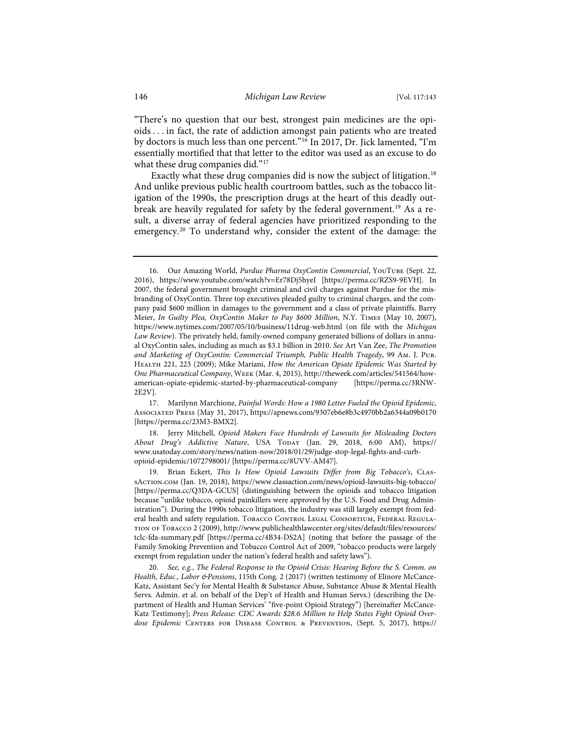"There's no question that our best, strongest pain medicines are the opioids . . . in fact, the rate of addiction amongst pain patients who are treated by doctors is much less than one percent."16 In 2017, Dr. Jick lamented, "I'm essentially mortified that that letter to the editor was used as an excuse to do what these drug companies did."<sup>17</sup>

Exactly what these drug companies did is now the subject of litigation.<sup>18</sup> And unlike previous public health courtroom battles, such as the tobacco litigation of the 1990s, the prescription drugs at the heart of this deadly outbreak are heavily regulated for safety by the federal government.19 As a result, a diverse array of federal agencies have prioritized responding to the emergency.<sup>20</sup> To understand why, consider the extent of the damage: the

17. Marilynn Marchione, *Painful Words: How a 1980 Letter Fueled the Opioid Epidemic*, Associated Press (May 31, 2017), https://apnews.com/9307eb6e8b3c4970bb2a6344a09b0170 [https://perma.cc/23M3-BMX2].

18. Jerry Mitchell, *Opioid Makers Face Hundreds of Lawsuits for Misleading Doctors About Drug's Addictive Nature*, USA Today (Jan. 29, 2018, 6:00 AM), https:// www.usatoday.com/story/news/nation-now/2018/01/29/judge-stop-legal-fights-and-curbopioid-epidemic/1072798001/ [https://perma.cc/8UVV-AM47].

19. Brian Eckert, *This Is How Opioid Lawsuits Differ from Big Tobacco's*, CLAssAction.com (Jan. 19, 2018), https://www.classaction.com/news/opioid-lawsuits-big-tobacco/ [https://perma.cc/Q3DA-GCUS] (distinguishing between the opioids and tobacco litigation because "unlike tobacco, opioid painkillers were approved by the U.S. Food and Drug Administration"). During the 1990s tobacco litigation, the industry was still largely exempt from federal health and safety regulation. TOBACCO CONTROL LEGAL CONSORTIUM, FEDERAL REGULAtion of Tobacco 2 (2009), http://www.publichealthlawcenter.org/sites/default/files/resources/ tclc-fda-summary.pdf [https://perma.cc/4B34-DS2A] (noting that before the passage of the Family Smoking Prevention and Tobacco Control Act of 2009, "tobacco products were largely exempt from regulation under the nation's federal health and safety laws").

20. *See, e.g.*, *The Federal Response to the Opioid Crisis: Hearing Before the S. Comm. on Health, Educ., Labor &Pensions*, 115th Cong. 2 (2017) (written testimony of Elinore McCance-Katz, Assistant Sec'y for Mental Health & Substance Abuse, Substance Abuse & Mental Health Servs. Admin. et al. on behalf of the Dep't of Health and Human Servs.) (describing the Department of Health and Human Services' "five-point Opioid Strategy") [hereinafter McCance-Katz Testimony]; *Press Release: CDC Awards \$28.6 Million to Help States Fight Opioid Overdose Epidemic* Centers for Disease Control & Prevention, (Sept. 5, 2017), https://

<sup>16.</sup> Our Amazing World, *Purdue Pharma OxyContin Commercial*, YouTube (Sept. 22, 2016), https://www.youtube.com/watch?v=Er78Dj5hyeI [https://perma.cc/RZS9-9EVH]. In 2007, the federal government brought criminal and civil charges against Purdue for the misbranding of OxyContin. Three top executives pleaded guilty to criminal charges, and the company paid \$600 million in damages to the government and a class of private plaintiffs. Barry Meier, *In Guilty Plea, OxyContin Maker to Pay \$600 Million*, N.Y. Times (May 10, 2007), https://www.nytimes.com/2007/05/10/business/11drug-web.html (on file with the *Michigan Law Review*). The privately held, family-owned company generated billions of dollars in annual OxyContin sales, including as much as \$3.1 billion in 2010. *See* Art Van Zee, *The Promotion and Marketing of OxyContin: Commercial Triumph, Public Health Tragedy*, 99 Am. J. Pub. Health 221, 223 (2009); Mike Mariani, *How the American Opiate Epidemic Was Started by One Pharmaceutical Company*, Week (Mar. 4, 2015), http://theweek.com/articles/541564/howamerican-opiate-epidemic-started-by-pharmaceutical-company [https://perma.cc/3RNW-2E2V].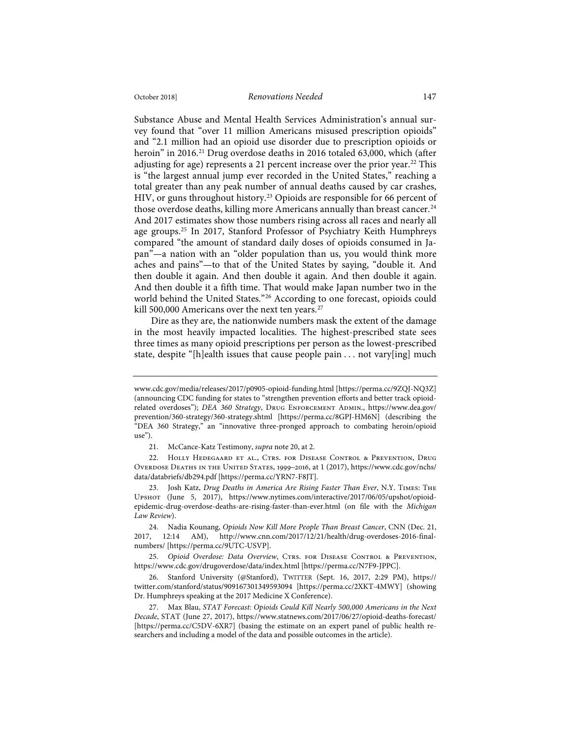#### October 2018] *Renovations Needed* 147

Substance Abuse and Mental Health Services Administration's annual survey found that "over 11 million Americans misused prescription opioids" and "2.1 million had an opioid use disorder due to prescription opioids or heroin" in 2016.<sup>21</sup> Drug overdose deaths in 2016 totaled 63,000, which (after adjusting for age) represents a 21 percent increase over the prior year.<sup>22</sup> This is "the largest annual jump ever recorded in the United States," reaching a total greater than any peak number of annual deaths caused by car crashes, HIV, or guns throughout history.23 Opioids are responsible for 66 percent of those overdose deaths, killing more Americans annually than breast cancer.<sup>24</sup> And 2017 estimates show those numbers rising across all races and nearly all age groups.25 In 2017, Stanford Professor of Psychiatry Keith Humphreys compared "the amount of standard daily doses of opioids consumed in Japan"—a nation with an "older population than us, you would think more aches and pains"—to that of the United States by saying, "double it. And then double it again. And then double it again. And then double it again. And then double it a fifth time. That would make Japan number two in the world behind the United States."26 According to one forecast, opioids could kill 500,000 Americans over the next ten years.<sup>27</sup>

Dire as they are, the nationwide numbers mask the extent of the damage in the most heavily impacted localities. The highest-prescribed state sees three times as many opioid prescriptions per person as the lowest-prescribed state, despite "[h]ealth issues that cause people pain . . . not vary[ing] much

www.cdc.gov/media/releases/2017/p0905-opioid-funding.html [https://perma.cc/9ZQJ-NQ3Z] (announcing CDC funding for states to "strengthen prevention efforts and better track opioidrelated overdoses"); *DEA 360 Strategy*, Drug Enforcement Admin., https://www.dea.gov/ prevention/360-strategy/360-strategy.shtml [https://perma.cc/8GPJ-HM6N] (describing the "DEA 360 Strategy," an "innovative three-pronged approach to combating heroin/opioid use").

<sup>21.</sup> McCance-Katz Testimony, *supra* note 20, at 2.

<sup>22.</sup> Holly Hedegaard et al., Ctrs. for Disease Control & Prevention, Drug Overdose Deaths in the United States, 1999–2016, at 1 (2017), https://www.cdc.gov/nchs/ data/databriefs/db294.pdf [https://perma.cc/YRN7-F8JT].

<sup>23.</sup> Josh Katz, *Drug Deaths in America Are Rising Faster Than Ever*, N.Y. Times: The Upshot (June 5, 2017), https://www.nytimes.com/interactive/2017/06/05/upshot/opioidepidemic-drug-overdose-deaths-are-rising-faster-than-ever.html (on file with the *Michigan Law Review*).

<sup>24.</sup> Nadia Kounang, *Opioids Now Kill More People Than Breast Cancer*, CNN (Dec. 21, 2017, 12:14 AM), http://www.cnn.com/2017/12/21/health/drug-overdoses-2016-finalnumbers/ [https://perma.cc/9UTC-USVP].

<sup>25.</sup> Opioid Overdose: Data Overview, CTRS. FOR DISEASE CONTROL & PREVENTION, https://www.cdc.gov/drugoverdose/data/index.html [https://perma.cc/N7F9-JPPC].

<sup>26.</sup> Stanford University (@Stanford), TWITTER (Sept. 16, 2017, 2:29 PM), https:// twitter.com/stanford/status/909167301349593094 [https://perma.cc/2XKT-4MWY] (showing Dr. Humphreys speaking at the 2017 Medicine X Conference).

<sup>27.</sup> Max Blau, *STAT Forecast: Opioids Could Kill Nearly 500,000 Americans in the Next Decade*, STAT (June 27, 2017), https://www.statnews.com/2017/06/27/opioid-deaths-forecast/ [https://perma.cc/C5DV-6XR7] (basing the estimate on an expert panel of public health researchers and including a model of the data and possible outcomes in the article).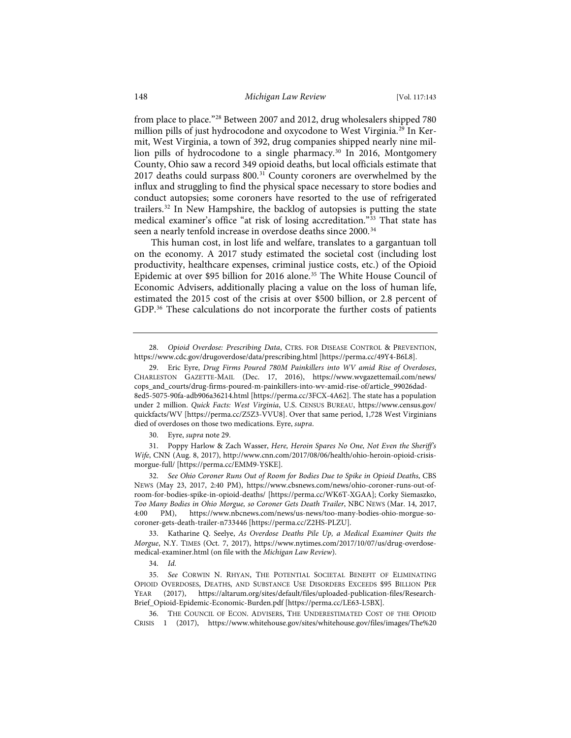from place to place."28 Between 2007 and 2012, drug wholesalers shipped 780 million pills of just hydrocodone and oxycodone to West Virginia.29 In Kermit, West Virginia, a town of 392, drug companies shipped nearly nine million pills of hydrocodone to a single pharmacy.30 In 2016, Montgomery County, Ohio saw a record 349 opioid deaths, but local officials estimate that 2017 deaths could surpass 800.<sup>31</sup> County coroners are overwhelmed by the influx and struggling to find the physical space necessary to store bodies and conduct autopsies; some coroners have resorted to the use of refrigerated trailers.32 In New Hampshire, the backlog of autopsies is putting the state medical examiner's office "at risk of losing accreditation."33 That state has seen a nearly tenfold increase in overdose deaths since 2000.<sup>34</sup>

This human cost, in lost life and welfare, translates to a gargantuan toll on the economy. A 2017 study estimated the societal cost (including lost productivity, healthcare expenses, criminal justice costs, etc.) of the Opioid Epidemic at over \$95 billion for 2016 alone.<sup>35</sup> The White House Council of Economic Advisers, additionally placing a value on the loss of human life, estimated the 2015 cost of the crisis at over \$500 billion, or 2.8 percent of GDP.<sup>36</sup> These calculations do not incorporate the further costs of patients

30. Eyre, *supra* note 29.

31. Poppy Harlow & Zach Wasser, *Here, Heroin Spares No One, Not Even the Sheriff's Wife*, CNN (Aug. 8, 2017), http://www.cnn.com/2017/08/06/health/ohio-heroin-opioid-crisismorgue-full/ [https://perma.cc/EMM9-YSKE].

32. *See Ohio Coroner Runs Out of Room for Bodies Due to Spike in Opioid Deaths*, CBS NEWS (May 23, 2017, 2:40 PM), https://www.cbsnews.com/news/ohio-coroner-runs-out-ofroom-for-bodies-spike-in-opioid-deaths/ [https://perma.cc/WK6T-XGAA]; Corky Siemaszko, *Too Many Bodies in Ohio Morgue, so Coroner Gets Death Trailer*, NBC NEWS (Mar. 14, 2017, 4:00 PM), https://www.nbcnews.com/news/us-news/too-many-bodies-ohio-morgue-socoroner-gets-death-trailer-n733446 [https://perma.cc/Z2HS-PLZU].

33. Katharine Q. Seelye, *As Overdose Deaths Pile Up, a Medical Examiner Quits the Morgue*, N.Y. TIMES (Oct. 7, 2017), https://www.nytimes.com/2017/10/07/us/drug-overdosemedical-examiner.html (on file with the *Michigan Law Review*).

34. *Id.*

35. *See* CORWIN N. RHYAN, THE POTENTIAL SOCIETAL BENEFIT OF ELIMINATING OPIOID OVERDOSES, DEATHS, AND SUBSTANCE USE DISORDERS EXCEEDS \$95 BILLION PER YEAR (2017), https://altarum.org/sites/default/files/uploaded-publication-files/Research-Brief\_Opioid-Epidemic-Economic-Burden.pdf [https://perma.cc/LE63-L5BX].

36. THE COUNCIL OF ECON. ADVISERS, THE UNDERESTIMATED COST OF THE OPIOID CRISIS 1 (2017), https://www.whitehouse.gov/sites/whitehouse.gov/files/images/The%20

<sup>28.</sup> *Opioid Overdose: Prescribing Data*, CTRS. FOR DISEASE CONTROL & PREVENTION, https://www.cdc.gov/drugoverdose/data/prescribing.html [https://perma.cc/49Y4-B6L8].

<sup>29.</sup> Eric Eyre, *Drug Firms Poured 780M Painkillers into WV amid Rise of Overdoses*, CHARLESTON GAZETTE-MAIL (Dec. 17, 2016), https://www.wvgazettemail.com/news/ cops\_and\_courts/drug-firms-poured-m-painkillers-into-wv-amid-rise-of/article\_99026dad-8ed5-5075-90fa-adb906a36214.html [https://perma.cc/3FCX-4A62]. The state has a population under 2 million. *Quick Facts: West Virginia*, U.S. CENSUS BUREAU, https://www.census.gov/ quickfacts/WV [https://perma.cc/Z5Z3-VVU8]. Over that same period, 1,728 West Virginians died of overdoses on those two medications. Eyre, *supra*.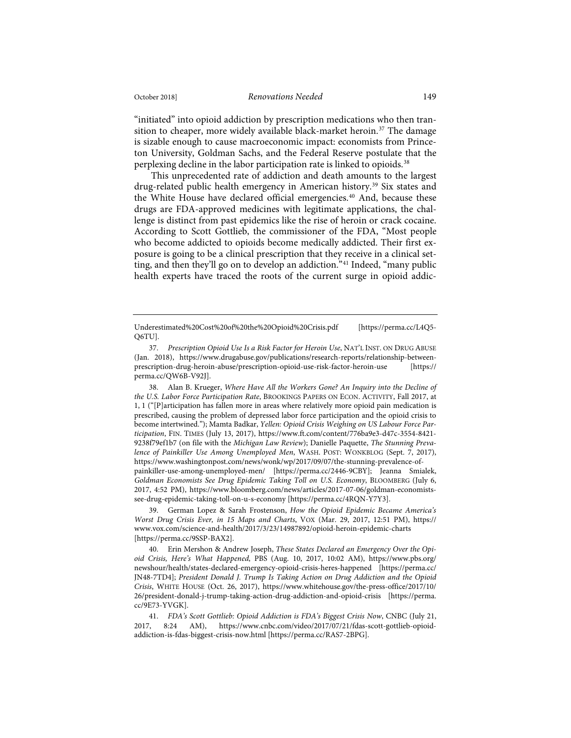"initiated" into opioid addiction by prescription medications who then transition to cheaper, more widely available black-market heroin.<sup>37</sup> The damage is sizable enough to cause macroeconomic impact: economists from Princeton University, Goldman Sachs, and the Federal Reserve postulate that the perplexing decline in the labor participation rate is linked to opioids.<sup>38</sup>

This unprecedented rate of addiction and death amounts to the largest drug-related public health emergency in American history.<sup>39</sup> Six states and the White House have declared official emergencies.<sup>40</sup> And, because these drugs are FDA-approved medicines with legitimate applications, the challenge is distinct from past epidemics like the rise of heroin or crack cocaine. According to Scott Gottlieb, the commissioner of the FDA, "Most people who become addicted to opioids become medically addicted. Their first exposure is going to be a clinical prescription that they receive in a clinical setting, and then they'll go on to develop an addiction."<sup>41</sup> Indeed, "many public health experts have traced the roots of the current surge in opioid addic-

38. Alan B. Krueger, *Where Have All the Workers Gone? An Inquiry into the Decline of the U.S. Labor Force Participation Rate*, BROOKINGS PAPERS ON ECON. ACTIVITY, Fall 2017, at 1, 1 ("[P]articipation has fallen more in areas where relatively more opioid pain medication is prescribed, causing the problem of depressed labor force participation and the opioid crisis to become intertwined."); Mamta Badkar, *Yellen: Opioid Crisis Weighing on US Labour Force Participation*, FIN. TIMES (July 13, 2017), https://www.ft.com/content/776ba9e3-d47c-3554-8421- 9238f79ef1b7 (on file with the *Michigan Law Review*); Danielle Paquette, *The Stunning Prevalence of Painkiller Use Among Unemployed Men*, WASH. POST: WONKBLOG (Sept. 7, 2017), https://www.washingtonpost.com/news/wonk/wp/2017/09/07/the-stunning-prevalence-ofpainkiller-use-among-unemployed-men/ [https://perma.cc/2446-9CBY]; Jeanna Smialek, *Goldman Economists See Drug Epidemic Taking Toll on U.S. Economy*, BLOOMBERG (July 6, 2017, 4:52 PM), https://www.bloomberg.com/news/articles/2017-07-06/goldman-economistssee-drug-epidemic-taking-toll-on-u-s-economy [https://perma.cc/4RQN-Y7Y3].

39. German Lopez & Sarah Frostenson, *How the Opioid Epidemic Became America's Worst Drug Crisis Ever, in 15 Maps and Charts*, VOX (Mar. 29, 2017, 12:51 PM), https:// www.vox.com/science-and-health/2017/3/23/14987892/opioid-heroin-epidemic-charts [https://perma.cc/9SSP-BAX2].

40. Erin Mershon & Andrew Joseph, *These States Declared an Emergency Over the Opioid Crisis, Here's What Happened*, PBS (Aug. 10, 2017, 10:02 AM), https://www.pbs.org/ newshour/health/states-declared-emergency-opioid-crisis-heres-happened [https://perma.cc/ JN48-7TD4]; *President Donald J. Trump Is Taking Action on Drug Addiction and the Opioid Crisis*, WHITE HOUSE (Oct. 26, 2017), https://www.whitehouse.gov/the-press-office/2017/10/ 26/president-donald-j-trump-taking-action-drug-addiction-and-opioid-crisis [https://perma. cc/9E73-YVGK].

Underestimated%20Cost%20of%20the%20Opioid%20Crisis.pdf [https://perma.cc/L4Q5- Q6TU].

<sup>37.</sup> *Prescription Opioid Use Is a Risk Factor for Heroin Use*, NAT'L INST. ON DRUG ABUSE (Jan. 2018), https://www.drugabuse.gov/publications/research-reports/relationship-betweenprescription-drug-heroin-abuse/prescription-opioid-use-risk-factor-heroin-use [https:// perma.cc/QW6B-V92J].

<sup>41.</sup> *FDA's Scott Gottlieb: Opioid Addiction is FDA's Biggest Crisis Now*, CNBC (July 21, 2017, 8:24 AM), https://www.cnbc.com/video/2017/07/21/fdas-scott-gottlieb-opioidaddiction-is-fdas-biggest-crisis-now.html [https://perma.cc/RAS7-2BPG].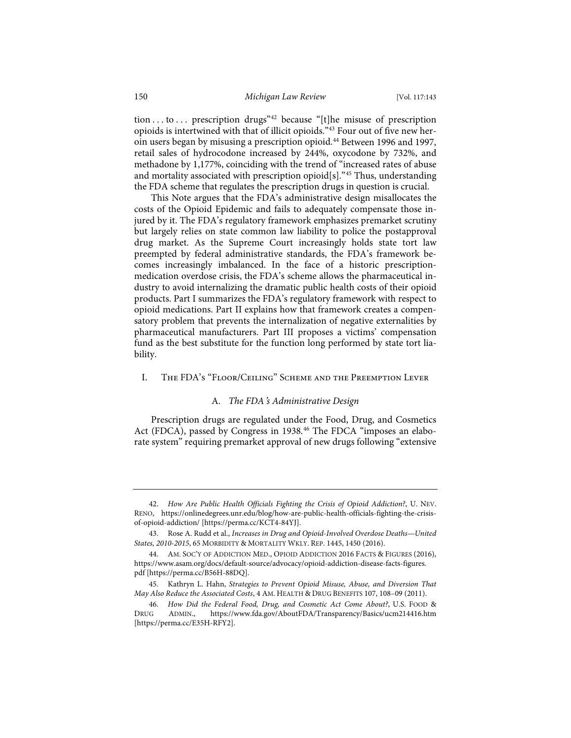tion . . . to . . . prescription drugs<sup>"42</sup> because "[t]he misuse of prescription opioids is intertwined with that of illicit opioids."43 Four out of five new heroin users began by misusing a prescription opioid.<sup>44</sup> Between 1996 and 1997, retail sales of hydrocodone increased by 244%, oxycodone by 732%, and methadone by 1,177%, coinciding with the trend of "increased rates of abuse and mortality associated with prescription opioid[s]."45 Thus, understanding the FDA scheme that regulates the prescription drugs in question is crucial.

This Note argues that the FDA's administrative design misallocates the costs of the Opioid Epidemic and fails to adequately compensate those injured by it. The FDA's regulatory framework emphasizes premarket scrutiny but largely relies on state common law liability to police the postapproval drug market. As the Supreme Court increasingly holds state tort law preempted by federal administrative standards, the FDA's framework becomes increasingly imbalanced. In the face of a historic prescriptionmedication overdose crisis, the FDA's scheme allows the pharmaceutical industry to avoid internalizing the dramatic public health costs of their opioid products. Part I summarizes the FDA's regulatory framework with respect to opioid medications. Part II explains how that framework creates a compensatory problem that prevents the internalization of negative externalities by pharmaceutical manufacturers. Part III proposes a victims' compensation fund as the best substitute for the function long performed by state tort liability.

#### I. The FDA's "Floor/Ceiling" Scheme and the Preemption Lever

#### A*. The FDA*'*s Administrative Design*

Prescription drugs are regulated under the Food, Drug, and Cosmetics Act (FDCA), passed by Congress in 1938.46 The FDCA "imposes an elaborate system" requiring premarket approval of new drugs following "extensive

<sup>42.</sup> *How Are Public Health Officials Fighting the Crisis of Opioid Addiction?*, U. NEV. RENO, https://onlinedegrees.unr.edu/blog/how-are-public-health-officials-fighting-the-crisisof-opioid-addiction/ [https://perma.cc/KCT4-84YJ].

<sup>43.</sup> Rose A. Rudd et al., *Increases in Drug and Opioid-Involved Overdose Deaths—United States, 2010-2015*, 65 MORBIDITY & MORTALITY WKLY. REP. 1445, 1450 (2016).

<sup>44.</sup> AM. SOC'Y OF ADDICTION MED., OPIOID ADDICTION 2016 FACTS & FIGURES (2016), https://www.asam.org/docs/default-source/advocacy/opioid-addiction-disease-facts-figures. pdf [https://perma.cc/B56H-88DQ].

<sup>45.</sup> Kathryn L. Hahn, *Strategies to Prevent Opioid Misuse, Abuse, and Diversion That May Also Reduce the Associated Costs*, 4 AM. HEALTH & DRUG BENEFITS 107, 108–09 (2011).

<sup>46.</sup> *How Did the Federal Food, Drug, and Cosmetic Act Come About?*, U.S. FOOD & DRUG ADMIN., https://www.fda.gov/AboutFDA/Transparency/Basics/ucm214416.htm [https://perma.cc/E35H-RFY2].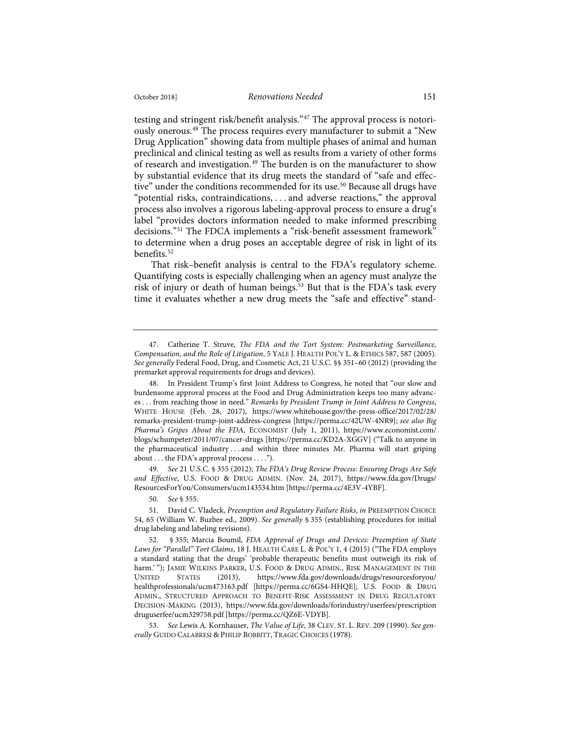testing and stringent risk/benefit analysis."47 The approval process is notoriously onerous.48 The process requires every manufacturer to submit a "New Drug Application" showing data from multiple phases of animal and human preclinical and clinical testing as well as results from a variety of other forms of research and investigation.<sup>49</sup> The burden is on the manufacturer to show by substantial evidence that its drug meets the standard of "safe and effective" under the conditions recommended for its use.<sup>50</sup> Because all drugs have "potential risks, contraindications, . . . and adverse reactions," the approval process also involves a rigorous labeling-approval process to ensure a drug's label "provides doctors information needed to make informed prescribing decisions."51 The FDCA implements a "risk-benefit assessment framework" to determine when a drug poses an acceptable degree of risk in light of its benefits.<sup>52</sup>

That risk–benefit analysis is central to the FDA's regulatory scheme. Quantifying costs is especially challenging when an agency must analyze the risk of injury or death of human beings.<sup>53</sup> But that is the FDA's task every time it evaluates whether a new drug meets the "safe and effective" stand-

49. *See* 21 U.S.C. § 355 (2012); *The FDA's Drug Review Process: Ensuring Drugs Are Safe and Effective*, U.S. FOOD & DRUG ADMIN. (Nov. 24, 2017), https://www.fda.gov/Drugs/ ResourcesForYou/Consumers/ucm143534.htm [https://perma.cc/4E3V-4YBF].

50. *See* § 355.

<sup>47.</sup> Catherine T. Struve, *The FDA and the Tort System: Postmarketing Surveillance, Compensation, and the Role of Litigation*, 5 YALE J. HEALTH POL'Y L. & ETHICS 587, 587 (2005). *See generally* Federal Food, Drug, and Cosmetic Act, 21 U.S.C. §§ 351–60 (2012) (providing the premarket approval requirements for drugs and devices).

<sup>48.</sup> In President Trump's first Joint Address to Congress, he noted that "our slow and burdensome approval process at the Food and Drug Administration keeps too many advances . . . from reaching those in need." *Remarks by President Trump in Joint Address to Congress*, WHITE HOUSE (Feb. 28, 2017), https://www.whitehouse.gov/the-press-office/2017/02/28/ remarks-president-trump-joint-address-congress [https://perma.cc/42UW-4NR9]; *see also Big Pharma's Gripes About the FDA*, ECONOMIST (July 1, 2011), https://www.economist.com/ blogs/schumpeter/2011/07/cancer-drugs [https://perma.cc/KD2A-XGGV] ("Talk to anyone in the pharmaceutical industry . . . and within three minutes Mr. Pharma will start griping about . . . the FDA's approval process . . . .").

<sup>51.</sup> David C. Vladeck, *Preemption and Regulatory Failure Risks*, *in* PREEMPTION CHOICE 54, 65 (William W. Buzbee ed., 2009). *See generally* § 355 (establishing procedures for initial drug labeling and labeling revisions).

<sup>52. § 355;</sup> Marcia Boumil, *FDA Approval of Drugs and Devices: Preemption of State Laws for "Parallel" Tort Claims*, 18 J. HEALTH CARE L. & POL'Y 1, 4 (2015) ("The FDA employs a standard stating that the drugs' 'probable therapeutic benefits must outweigh its risk of harm.'"); JAMIE WILKINS PARKER, U.S. FOOD & DRUG ADMIN., RISK MANAGEMENT IN THE UNITED STATES (2013), https://www.fda.gov/downloads/drugs/resourcesforyou/ healthprofessionals/ucm473163.pdf [https://perma.cc/6GS4-HHQE]; U.S. FOOD & DRUG ADMIN., STRUCTURED APPROACH TO BENEFIT-RISK ASSESSMENT IN DRUG REGULATORY DECISION-MAKING (2013), https://www.fda.gov/downloads/forindustry/userfees/prescription druguserfee/ucm329758.pdf [https://perma.cc/QZ6E-VDYB].

<sup>53.</sup> *See* Lewis A. Kornhauser, *The Value of Life*, 38 CLEV. ST. L. REV. 209 (1990). *See generally* GUIDO CALABRESI & PHILIP BOBBITT, TRAGIC CHOICES (1978).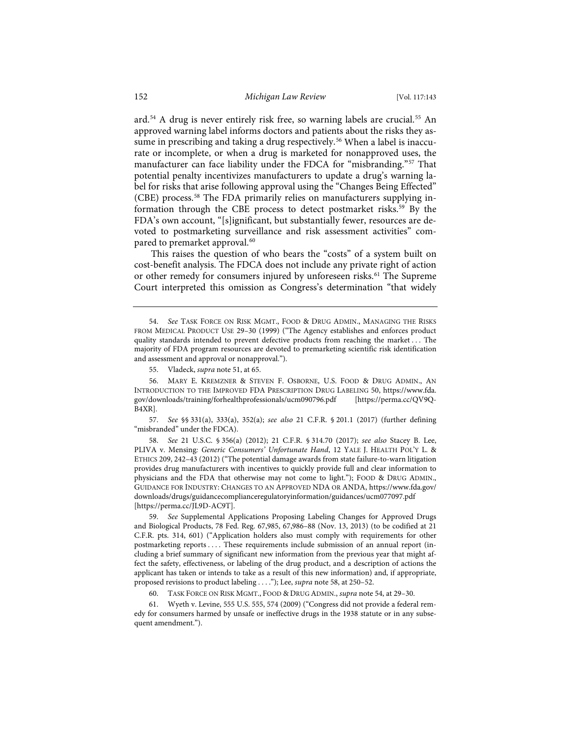ard.54 A drug is never entirely risk free, so warning labels are crucial.55 An approved warning label informs doctors and patients about the risks they assume in prescribing and taking a drug respectively.<sup>56</sup> When a label is inaccurate or incomplete, or when a drug is marketed for nonapproved uses, the manufacturer can face liability under the FDCA for "misbranding."57 That potential penalty incentivizes manufacturers to update a drug's warning label for risks that arise following approval using the "Changes Being Effected" (CBE) process.58 The FDA primarily relies on manufacturers supplying information through the CBE process to detect postmarket risks.<sup>59</sup> By the FDA's own account, "[s]ignificant, but substantially fewer, resources are devoted to postmarketing surveillance and risk assessment activities" compared to premarket approval.<sup>60</sup>

This raises the question of who bears the "costs" of a system built on cost-benefit analysis. The FDCA does not include any private right of action or other remedy for consumers injured by unforeseen risks.<sup>61</sup> The Supreme Court interpreted this omission as Congress's determination "that widely

56. MARY E. KREMZNER & STEVEN F. OSBORNE, U.S. FOOD & DRUG ADMIN., AN INTRODUCTION TO THE IMPROVED FDA PRESCRIPTION DRUG LABELING 50, https://www.fda. gov/downloads/training/forhealthprofessionals/ucm090796.pdf [https://perma.cc/QV9Q-B4XR].

57. *See* §§ 331(a), 333(a), 352(a); *see also* 21 C.F.R. § 201.1 (2017) (further defining "misbranded" under the FDCA).

58. *See* 21 U.S.C. § 356(a) (2012); 21 C.F.R. § 314.70 (2017); *see also* Stacey B. Lee, PLIVA v. Mensing*: Generic Consumers' Unfortunate Hand*, 12 YALE J. HEALTH POL'Y L. & ETHICS 209, 242–43 (2012) ("The potential damage awards from state failure-to-warn litigation provides drug manufacturers with incentives to quickly provide full and clear information to physicians and the FDA that otherwise may not come to light."); FOOD & DRUG ADMIN., GUIDANCE FOR INDUSTRY: CHANGES TO AN APPROVED NDA OR ANDA, https://www.fda.gov/ downloads/drugs/guidancecomplianceregulatoryinformation/guidances/ucm077097.pdf [https://perma.cc/JL9D-AC9T].

59. *See* Supplemental Applications Proposing Labeling Changes for Approved Drugs and Biological Products, 78 Fed. Reg. 67,985, 67,986–88 (Nov. 13, 2013) (to be codified at 21 C.F.R. pts. 314, 601) ("Application holders also must comply with requirements for other postmarketing reports . . . . These requirements include submission of an annual report (including a brief summary of significant new information from the previous year that might affect the safety, effectiveness, or labeling of the drug product, and a description of actions the applicant has taken or intends to take as a result of this new information) and, if appropriate, proposed revisions to product labeling . . . ."); Lee, *supra* note 58, at 250–52.

60. TASK FORCE ON RISK MGMT., FOOD & DRUG ADMIN., *supra* note 54, at 29–30.

61. Wyeth v. Levine, 555 U.S. 555, 574 (2009) ("Congress did not provide a federal remedy for consumers harmed by unsafe or ineffective drugs in the 1938 statute or in any subsequent amendment.").

<sup>54.</sup> *See* TASK FORCE ON RISK MGMT., FOOD & DRUG ADMIN., MANAGING THE RISKS FROM MEDICAL PRODUCT USE 29–30 (1999) ("The Agency establishes and enforces product quality standards intended to prevent defective products from reaching the market . . . The majority of FDA program resources are devoted to premarketing scientific risk identification and assessment and approval or nonapproval.").

<sup>55.</sup> Vladeck, *supra* note 51, at 65.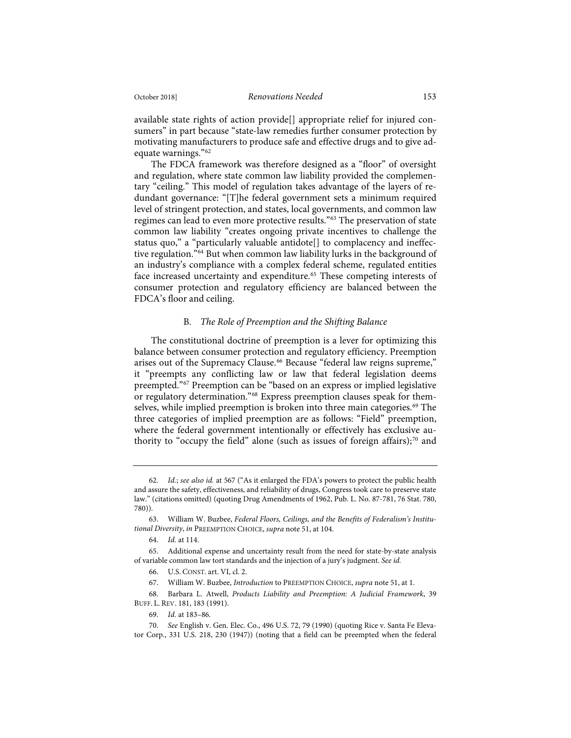available state rights of action provide[] appropriate relief for injured consumers" in part because "state-law remedies further consumer protection by motivating manufacturers to produce safe and effective drugs and to give adequate warnings."62

The FDCA framework was therefore designed as a "floor" of oversight and regulation, where state common law liability provided the complementary "ceiling." This model of regulation takes advantage of the layers of redundant governance: "[T]he federal government sets a minimum required level of stringent protection, and states, local governments, and common law regimes can lead to even more protective results."63 The preservation of state common law liability "creates ongoing private incentives to challenge the status quo," a "particularly valuable antidote[] to complacency and ineffective regulation."64 But when common law liability lurks in the background of an industry's compliance with a complex federal scheme, regulated entities face increased uncertainty and expenditure.<sup>65</sup> These competing interests of consumer protection and regulatory efficiency are balanced between the FDCA's floor and ceiling.

## B*. The Role of Preemption and the Shifting Balance*

The constitutional doctrine of preemption is a lever for optimizing this balance between consumer protection and regulatory efficiency. Preemption arises out of the Supremacy Clause.<sup>66</sup> Because "federal law reigns supreme," it "preempts any conflicting law or law that federal legislation deems preempted."67 Preemption can be "based on an express or implied legislative or regulatory determination."68 Express preemption clauses speak for themselves, while implied preemption is broken into three main categories.<sup>69</sup> The three categories of implied preemption are as follows: "Field" preemption, where the federal government intentionally or effectively has exclusive authority to "occupy the field" alone (such as issues of foreign affairs); $70$  and

<sup>62.</sup> *Id.*; *see also id.* at 567 ("As it enlarged the FDA's powers to protect the public health and assure the safety, effectiveness, and reliability of drugs, Congress took care to preserve state law." (citations omitted) (quoting Drug Amendments of 1962, Pub. L. No. 87-781, 76 Stat. 780, 780)).

<sup>63.</sup> William W. Buzbee, *Federal Floors, Ceilings, and the Benefits of Federalism's Institutional Diversity*, *in* PREEMPTION CHOICE, *supra* note 51, at 104.

<sup>64.</sup> *Id.* at 114.

<sup>65.</sup> Additional expense and uncertainty result from the need for state-by-state analysis of variable common law tort standards and the injection of a jury's judgment. *See id.*

<sup>66.</sup> U.S. CONST. art. VI, cl. 2.

<sup>67.</sup> William W. Buzbee, *Introduction* to PREEMPTION CHOICE, *supra* note 51, at 1.

<sup>68.</sup> Barbara L. Atwell, *Products Liability and Preemption: A Judicial Framework*, 39 BUFF. L. REV. 181, 183 (1991).

<sup>69.</sup> *Id.* at 183–86.

<sup>70.</sup> *See* English v. Gen. Elec. Co., 496 U.S. 72, 79 (1990) (quoting Rice v. Santa Fe Elevator Corp., 331 U.S. 218, 230 (1947)) (noting that a field can be preempted when the federal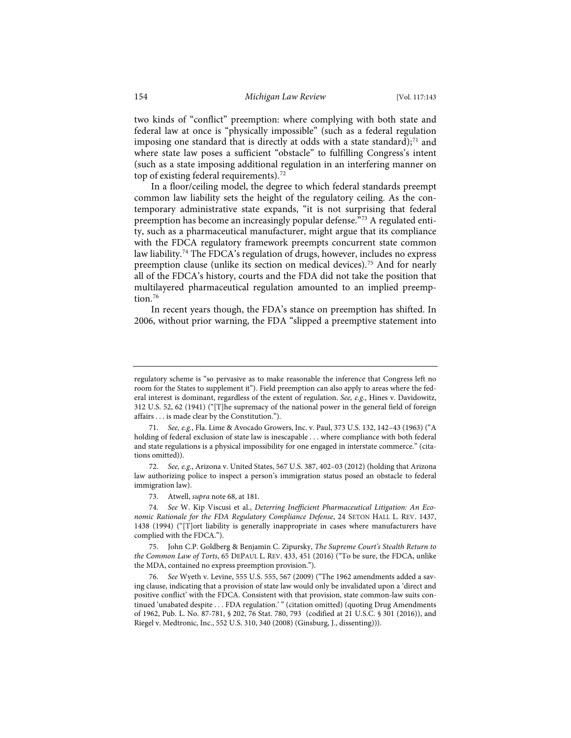two kinds of "conflict" preemption: where complying with both state and federal law at once is "physically impossible" (such as a federal regulation imposing one standard that is directly at odds with a state standard); $71$  and where state law poses a sufficient "obstacle" to fulfilling Congress's intent (such as a state imposing additional regulation in an interfering manner on top of existing federal requirements).<sup>72</sup>

In a floor/ceiling model, the degree to which federal standards preempt common law liability sets the height of the regulatory ceiling. As the contemporary administrative state expands, "it is not surprising that federal preemption has become an increasingly popular defense."<sup>73</sup> A regulated entity, such as a pharmaceutical manufacturer, might argue that its compliance with the FDCA regulatory framework preempts concurrent state common law liability.74 The FDCA's regulation of drugs, however, includes no express preemption clause (unlike its section on medical devices).<sup>75</sup> And for nearly all of the FDCA's history, courts and the FDA did not take the position that multilayered pharmaceutical regulation amounted to an implied preemption.<sup>76</sup>

In recent years though, the FDA's stance on preemption has shifted. In 2006, without prior warning, the FDA "slipped a preemptive statement into

regulatory scheme is "so pervasive as to make reasonable the inference that Congress left no room for the States to supplement it"). Field preemption can also apply to areas where the federal interest is dominant, regardless of the extent of regulation. *See, e.g.*, Hines v. Davidowitz, 312 U.S. 52, 62 (1941) ("[T]he supremacy of the national power in the general field of foreign affairs . . . is made clear by the Constitution.").

<sup>71.</sup> *See, e.g.*, Fla. Lime & Avocado Growers, Inc. v. Paul, 373 U.S. 132, 142–43 (1963) ("A holding of federal exclusion of state law is inescapable . . . where compliance with both federal and state regulations is a physical impossibility for one engaged in interstate commerce." (citations omitted)).

<sup>72.</sup> *See, e.g.*, Arizona v. United States, 567 U.S. 387, 402–03 (2012) (holding that Arizona law authorizing police to inspect a person's immigration status posed an obstacle to federal immigration law).

<sup>73.</sup> Atwell, *supra* note 68, at 181.

<sup>74.</sup> *See* W. Kip Viscusi et al., *Deterring Inefficient Pharmaceutical Litigation: An Economic Rationale for the FDA Regulatory Compliance Defense*, 24 SETON HALL L. REV. 1437, 1438 (1994) ("[T]ort liability is generally inappropriate in cases where manufacturers have complied with the FDCA.").

<sup>75.</sup> John C.P. Goldberg & Benjamin C. Zipursky, *The Supreme Court's Stealth Return to the Common Law of Torts*, 65 DEPAUL L. REV. 433, 451 (2016) ("To be sure, the FDCA, unlike the MDA, contained no express preemption provision.").

<sup>76.</sup> *See* Wyeth v. Levine, 555 U.S. 555, 567 (2009) ("The 1962 amendments added a saving clause, indicating that a provision of state law would only be invalidated upon a 'direct and positive conflict' with the FDCA. Consistent with that provision, state common-law suits continued 'unabated despite . . . FDA regulation.' " (citation omitted) (quoting Drug Amendments of 1962, Pub. L. No. 87-781, § 202, 76 Stat. 780, 793 (codified at 21 U.S.C. § 301 (2016)), and Riegel v. Medtronic, Inc., 552 U.S. 310, 340 (2008) (Ginsburg, J., dissenting))).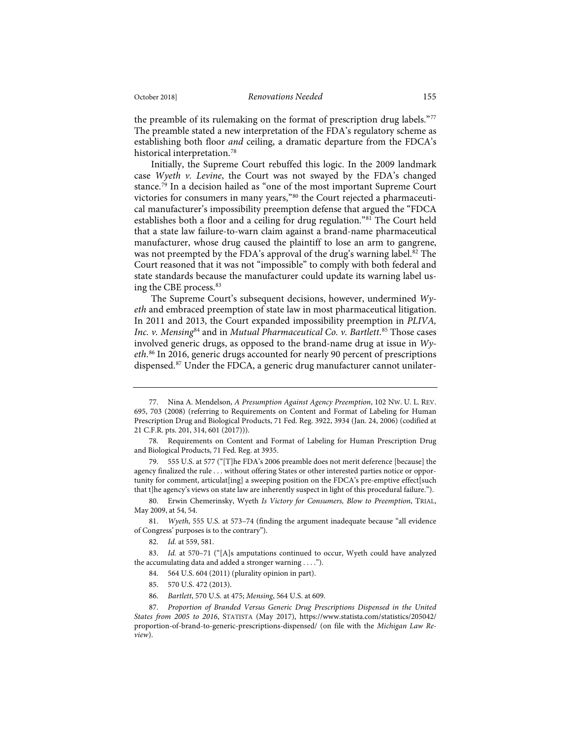the preamble of its rulemaking on the format of prescription drug labels."77 The preamble stated a new interpretation of the FDA's regulatory scheme as establishing both floor *and* ceiling, a dramatic departure from the FDCA's historical interpretation.78

Initially, the Supreme Court rebuffed this logic. In the 2009 landmark case *Wyeth v. Levine*, the Court was not swayed by the FDA's changed stance.79 In a decision hailed as "one of the most important Supreme Court victories for consumers in many years,"80 the Court rejected a pharmaceutical manufacturer's impossibility preemption defense that argued the "FDCA establishes both a floor and a ceiling for drug regulation."81 The Court held that a state law failure-to-warn claim against a brand-name pharmaceutical manufacturer, whose drug caused the plaintiff to lose an arm to gangrene, was not preempted by the FDA's approval of the drug's warning label.<sup>82</sup> The Court reasoned that it was not "impossible" to comply with both federal and state standards because the manufacturer could update its warning label using the CBE process.83

The Supreme Court's subsequent decisions, however, undermined *Wyeth* and embraced preemption of state law in most pharmaceutical litigation. In 2011 and 2013, the Court expanded impossibility preemption in *PLIVA, Inc. v. Mensing*<sup>84</sup> and in *Mutual Pharmaceutical Co. v. Bartlett*. <sup>85</sup> Those cases involved generic drugs, as opposed to the brand-name drug at issue in *Wyeth*. <sup>86</sup> In 2016, generic drugs accounted for nearly 90 percent of prescriptions dispensed.<sup>87</sup> Under the FDCA, a generic drug manufacturer cannot unilater-

- 84. 564 U.S. 604 (2011) (plurality opinion in part).
- 85. 570 U.S. 472 (2013).
- 86. *Bartlett*, 570 U.S. at 475; *Mensing*, 564 U.S. at 609.

<sup>77.</sup> Nina A. Mendelson, *A Presumption Against Agency Preemption*, 102 NW. U. L. REV. 695, 703 (2008) (referring to Requirements on Content and Format of Labeling for Human Prescription Drug and Biological Products, 71 Fed. Reg. 3922, 3934 (Jan. 24, 2006) (codified at 21 C.F.R. pts. 201, 314, 601 (2017))).

<sup>78.</sup> Requirements on Content and Format of Labeling for Human Prescription Drug and Biological Products, 71 Fed. Reg. at 3935.

<sup>79. 555</sup> U.S. at 577 ("[T]he FDA's 2006 preamble does not merit deference [because] the agency finalized the rule . . . without offering States or other interested parties notice or opportunity for comment, articulat[ing] a sweeping position on the FDCA's pre-emptive effect[such that t]he agency's views on state law are inherently suspect in light of this procedural failure.").

<sup>80.</sup> Erwin Chemerinsky, Wyeth *Is Victory for Consumers, Blow to Preemption*, TRIAL, May 2009, at 54, 54.

<sup>81.</sup> *Wyeth*, 555 U.S. at 573–74 (finding the argument inadequate because "all evidence of Congress' purposes is to the contrary").

<sup>82.</sup> *Id.* at 559, 581.

<sup>83.</sup> *Id.* at 570–71 ("[A]s amputations continued to occur, Wyeth could have analyzed the accumulating data and added a stronger warning . . . .").

<sup>87.</sup> *Proportion of Branded Versus Generic Drug Prescriptions Dispensed in the United States from 2005 to 2016*, STATISTA (May 2017), https://www.statista.com/statistics/205042/ proportion-of-brand-to-generic-prescriptions-dispensed/ (on file with the *Michigan Law Review*).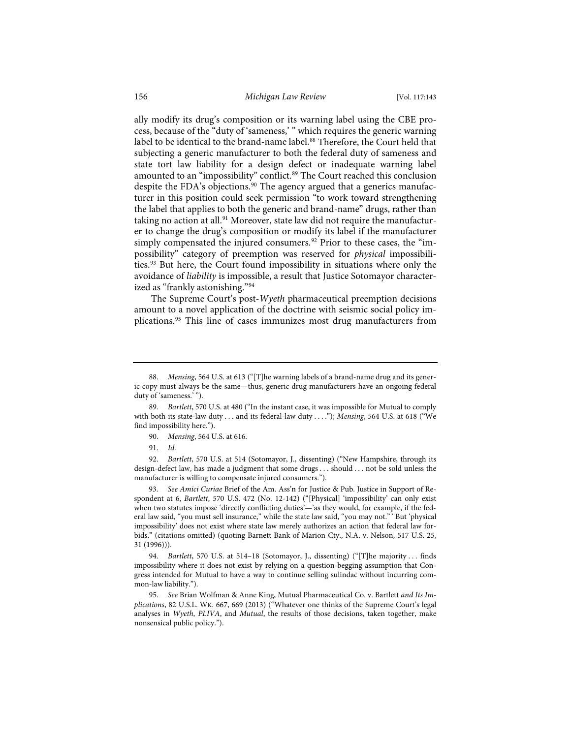ally modify its drug's composition or its warning label using the CBE process, because of the "duty of 'sameness,' " which requires the generic warning label to be identical to the brand-name label.<sup>88</sup> Therefore, the Court held that subjecting a generic manufacturer to both the federal duty of sameness and state tort law liability for a design defect or inadequate warning label amounted to an "impossibility" conflict.<sup>89</sup> The Court reached this conclusion despite the FDA's objections.<sup>90</sup> The agency argued that a generics manufacturer in this position could seek permission "to work toward strengthening the label that applies to both the generic and brand-name" drugs, rather than taking no action at all.<sup>91</sup> Moreover, state law did not require the manufacturer to change the drug's composition or modify its label if the manufacturer simply compensated the injured consumers.<sup>92</sup> Prior to these cases, the "impossibility" category of preemption was reserved for *physical* impossibilities.<sup>93</sup> But here, the Court found impossibility in situations where only the avoidance of *liability* is impossible, a result that Justice Sotomayor characterized as "frankly astonishing."94

The Supreme Court's post-*Wyeth* pharmaceutical preemption decisions amount to a novel application of the doctrine with seismic social policy implications.95 This line of cases immunizes most drug manufacturers from

92. *Bartlett*, 570 U.S. at 514 (Sotomayor, J., dissenting) ("New Hampshire, through its design-defect law, has made a judgment that some drugs . . . should . . . not be sold unless the manufacturer is willing to compensate injured consumers.").

93. *See Amici Curiae* Brief of the Am. Ass'n for Justice & Pub. Justice in Support of Respondent at 6, *Bartlett*, 570 U.S. 472 (No. 12-142) ("[Physical] 'impossibility' can only exist when two statutes impose 'directly conflicting duties'—'as they would, for example, if the federal law said, "you must sell insurance," while the state law said, "you may not." ' But 'physical impossibility' does not exist where state law merely authorizes an action that federal law forbids." (citations omitted) (quoting Barnett Bank of Marion Cty., N.A. v. Nelson, 517 U.S. 25, 31 (1996))).

94. *Bartlett*, 570 U.S. at 514–18 (Sotomayor, J., dissenting) ("[T]he majority . . . finds impossibility where it does not exist by relying on a question-begging assumption that Congress intended for Mutual to have a way to continue selling sulindac without incurring common-law liability.").

95. *See* Brian Wolfman & Anne King, Mutual Pharmaceutical Co. v. Bartlett *and Its Implications*, 82 U.S.L. WK. 667, 669 (2013) ("Whatever one thinks of the Supreme Court's legal analyses in *Wyeth*, *PLIVA*, and *Mutual*, the results of those decisions, taken together, make nonsensical public policy.").

<sup>88.</sup> *Mensing*, 564 U.S. at 613 ("[T]he warning labels of a brand-name drug and its generic copy must always be the same—thus, generic drug manufacturers have an ongoing federal duty of 'sameness.' ").

<sup>89.</sup> *Bartlett*, 570 U.S. at 480 ("In the instant case, it was impossible for Mutual to comply with both its state-law duty . . . and its federal-law duty . . . ."); *Mensing*, 564 U.S. at 618 ("We find impossibility here.").

<sup>90.</sup> *Mensing*, 564 U.S. at 616.

<sup>91.</sup> *Id.*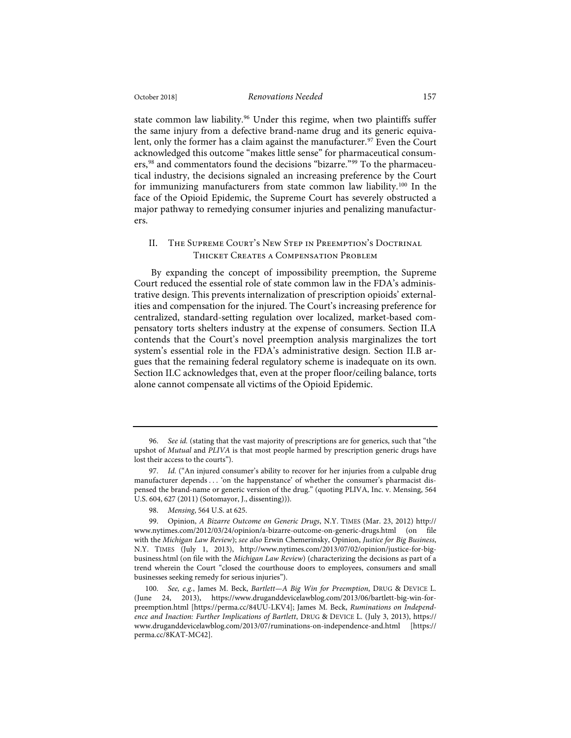state common law liability.<sup>96</sup> Under this regime, when two plaintiffs suffer the same injury from a defective brand-name drug and its generic equivalent, only the former has a claim against the manufacturer.<sup>97</sup> Even the Court acknowledged this outcome "makes little sense" for pharmaceutical consumers,<sup>98</sup> and commentators found the decisions "bizarre."<sup>99</sup> To the pharmaceutical industry, the decisions signaled an increasing preference by the Court for immunizing manufacturers from state common law liability.100 In the face of the Opioid Epidemic, the Supreme Court has severely obstructed a major pathway to remedying consumer injuries and penalizing manufacturers.

## II. The Supreme Court's New Step in Preemption's Doctrinal Thicket Creates a Compensation Problem

By expanding the concept of impossibility preemption, the Supreme Court reduced the essential role of state common law in the FDA's administrative design. This prevents internalization of prescription opioids' externalities and compensation for the injured. The Court's increasing preference for centralized, standard-setting regulation over localized, market-based compensatory torts shelters industry at the expense of consumers. Section II.A contends that the Court's novel preemption analysis marginalizes the tort system's essential role in the FDA's administrative design. Section II.B argues that the remaining federal regulatory scheme is inadequate on its own. Section II.C acknowledges that, even at the proper floor/ceiling balance, torts alone cannot compensate all victims of the Opioid Epidemic.

<sup>96.</sup> *See id.* (stating that the vast majority of prescriptions are for generics, such that "the upshot of *Mutual* and *PLIVA* is that most people harmed by prescription generic drugs have lost their access to the courts").

<sup>97.</sup> *Id.* ("An injured consumer's ability to recover for her injuries from a culpable drug manufacturer depends . . . 'on the happenstance' of whether the consumer's pharmacist dispensed the brand-name or generic version of the drug." (quoting PLIVA, Inc. v. Mensing, 564 U.S. 604, 627 (2011) (Sotomayor, J., dissenting))).

<sup>98.</sup> *Mensing*, 564 U.S. at 625.

<sup>99.</sup> Opinion, *A Bizarre Outcome on Generic Drugs*, N.Y. TIMES (Mar. 23, 2012) http:// www.nytimes.com/2012/03/24/opinion/a-bizarre-outcome-on-generic-drugs.html (on file with the *Michigan Law Review*); *see also* Erwin Chemerinsky, Opinion, *Justice for Big Business*, N.Y. TIMES (July 1, 2013), http://www.nytimes.com/2013/07/02/opinion/justice-for-bigbusiness.html (on file with the *Michigan Law Review*) (characterizing the decisions as part of a trend wherein the Court "closed the courthouse doors to employees, consumers and small businesses seeking remedy for serious injuries").

<sup>100.</sup> *See, e.g.*, James M. Beck, *Bartlett—A Big Win for Preemption*, DRUG & DEVICE L. (June 24, 2013), https://www.druganddevicelawblog.com/2013/06/bartlett-big-win-forpreemption.html [https://perma.cc/84UU-LKV4]; James M. Beck, *Ruminations on Independence and Inaction: Further Implications of Bartlett*, DRUG & DEVICE L. (July 3, 2013), https:// www.druganddevicelawblog.com/2013/07/ruminations-on-independence-and.html [https:// perma.cc/8KAT-MC42].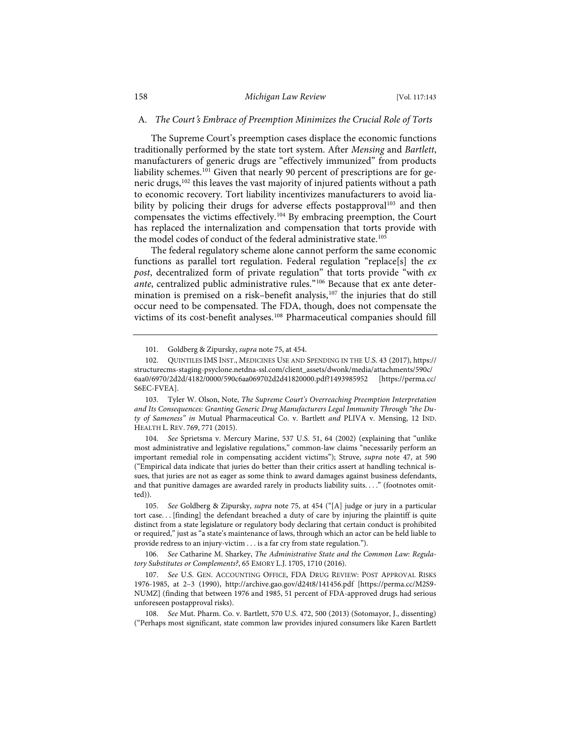#### A*. The Court*'*s Embrace of Preemption Minimizes the Crucial Role of Torts*

The Supreme Court's preemption cases displace the economic functions traditionally performed by the state tort system. After *Mensing* and *Bartlett*, manufacturers of generic drugs are "effectively immunized" from products liability schemes.<sup>101</sup> Given that nearly 90 percent of prescriptions are for generic drugs,<sup>102</sup> this leaves the vast majority of injured patients without a path to economic recovery. Tort liability incentivizes manufacturers to avoid liability by policing their drugs for adverse effects postapproval<sup>103</sup> and then compensates the victims effectively.104 By embracing preemption, the Court has replaced the internalization and compensation that torts provide with the model codes of conduct of the federal administrative state.<sup>105</sup>

The federal regulatory scheme alone cannot perform the same economic functions as parallel tort regulation. Federal regulation "replace[s] the *ex post*, decentralized form of private regulation" that torts provide "with *ex ante*, centralized public administrative rules."106 Because that ex ante determination is premised on a risk-benefit analysis,<sup>107</sup> the injuries that do still occur need to be compensated. The FDA, though, does not compensate the victims of its cost-benefit analyses.<sup>108</sup> Pharmaceutical companies should fill

103. Tyler W. Olson, Note, *The Supreme Court's Overreaching Preemption Interpretation and Its Consequences: Granting Generic Drug Manufacturers Legal Immunity Through "the Duty of Sameness" in* Mutual Pharmaceutical Co. v. Bartlett *and* PLIVA v. Mensing, 12 IND. HEALTH L. REV. 769, 771 (2015).

104. *See* Sprietsma v. Mercury Marine, 537 U.S. 51, 64 (2002) (explaining that "unlike most administrative and legislative regulations," common-law claims "necessarily perform an important remedial role in compensating accident victims"); Struve, *supra* note 47, at 590 ("Empirical data indicate that juries do better than their critics assert at handling technical issues, that juries are not as eager as some think to award damages against business defendants, and that punitive damages are awarded rarely in products liability suits. . . ." (footnotes omitted)).

105. *See* Goldberg & Zipursky, *supra* note 75, at 454 ("[A] judge or jury in a particular tort case. . . [finding] the defendant breached a duty of care by injuring the plaintiff is quite distinct from a state legislature or regulatory body declaring that certain conduct is prohibited or required," just as "a state's maintenance of laws, through which an actor can be held liable to provide redress to an injury-victim . . . is a far cry from state regulation.").

106. *See* Catharine M. Sharkey, *The Administrative State and the Common Law: Regulatory Substitutes or Complements?*, 65 EMORY L.J. 1705, 1710 (2016).

107. *See* U.S. GEN. ACCOUNTING OFFICE, FDA DRUG REVIEW: POST APPROVAL RISKS 1976-1985, at 2–3 (1990), http://archive.gao.gov/d24t8/141456.pdf [https://perma.cc/M2S9- NUMZ] (finding that between 1976 and 1985, 51 percent of FDA-approved drugs had serious unforeseen postapproval risks).

108. *See* Mut. Pharm. Co. v. Bartlett, 570 U.S. 472, 500 (2013) (Sotomayor, J., dissenting) ("Perhaps most significant, state common law provides injured consumers like Karen Bartlett

<sup>101.</sup> Goldberg & Zipursky, *supra* note 75, at 454.

<sup>102.</sup> QUINTILES IMS INST., MEDICINES USE AND SPENDING IN THE U.S. 43 (2017), https:// structurecms-staging-psyclone.netdna-ssl.com/client\_assets/dwonk/media/attachments/590c/ 6aa0/6970/2d2d/4182/0000/590c6aa069702d2d41820000.pdf?1493985952 [https://perma.cc/ S6EC-FVEA].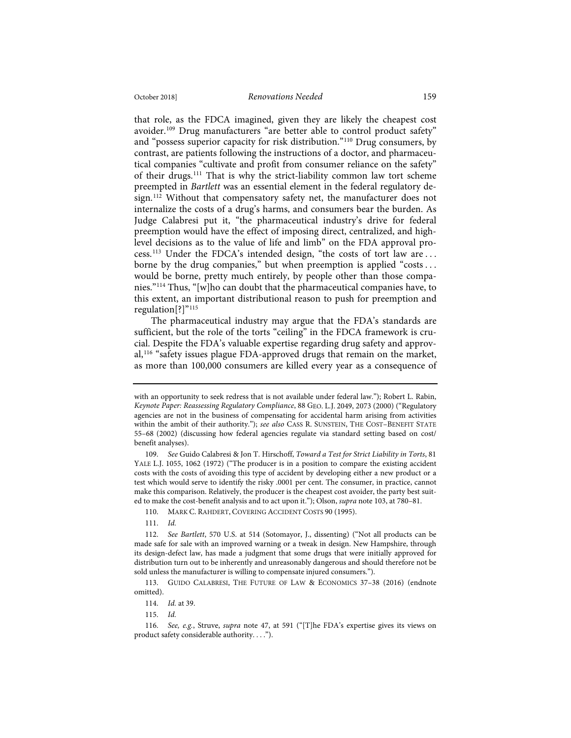that role, as the FDCA imagined, given they are likely the cheapest cost avoider.109 Drug manufacturers "are better able to control product safety" and "possess superior capacity for risk distribution."110 Drug consumers, by contrast, are patients following the instructions of a doctor, and pharmaceutical companies "cultivate and profit from consumer reliance on the safety" of their drugs.<sup>111</sup> That is why the strict-liability common law tort scheme preempted in *Bartlett* was an essential element in the federal regulatory design.<sup>112</sup> Without that compensatory safety net, the manufacturer does not internalize the costs of a drug's harms, and consumers bear the burden. As Judge Calabresi put it, "the pharmaceutical industry's drive for federal preemption would have the effect of imposing direct, centralized, and highlevel decisions as to the value of life and limb" on the FDA approval process.113 Under the FDCA's intended design, "the costs of tort law are . . . borne by the drug companies," but when preemption is applied "costs . . . would be borne, pretty much entirely, by people other than those companies."114 Thus, "[w]ho can doubt that the pharmaceutical companies have, to this extent, an important distributional reason to push for preemption and regulation[?]"<sup>115</sup>

The pharmaceutical industry may argue that the FDA's standards are sufficient, but the role of the torts "ceiling" in the FDCA framework is crucial. Despite the FDA's valuable expertise regarding drug safety and approval,<sup>116</sup> "safety issues plague FDA-approved drugs that remain on the market, as more than 100,000 consumers are killed every year as a consequence of

109. *See* Guido Calabresi & Jon T. Hirschoff, *Toward a Test for Strict Liability in Torts*, 81 YALE L.J. 1055, 1062 (1972) ("The producer is in a position to compare the existing accident costs with the costs of avoiding this type of accident by developing either a new product or a test which would serve to identify the risky .0001 per cent. The consumer, in practice, cannot make this comparison. Relatively, the producer is the cheapest cost avoider, the party best suited to make the cost-benefit analysis and to act upon it."); Olson, *supra* note 103, at 780–81.

110. MARK C. RAHDERT, COVERING ACCIDENT COSTS 90 (1995).

111. *Id.*

113. GUIDO CALABRESI, THE FUTURE OF LAW & ECONOMICS 37–38 (2016) (endnote omitted).

115. *Id.*

with an opportunity to seek redress that is not available under federal law."); Robert L. Rabin, *Keynote Paper: Reassessing Regulatory Compliance*, 88 GEO. L.J. 2049, 2073 (2000) ("Regulatory agencies are not in the business of compensating for accidental harm arising from activities within the ambit of their authority."); *see also* CASS R. SUNSTEIN, THE COST–BENEFIT STATE 55–68 (2002) (discussing how federal agencies regulate via standard setting based on cost/ benefit analyses).

<sup>112.</sup> *See Bartlett*, 570 U.S. at 514 (Sotomayor, J., dissenting) ("Not all products can be made safe for sale with an improved warning or a tweak in design. New Hampshire, through its design-defect law, has made a judgment that some drugs that were initially approved for distribution turn out to be inherently and unreasonably dangerous and should therefore not be sold unless the manufacturer is willing to compensate injured consumers.").

<sup>114.</sup> *Id.* at 39.

<sup>116.</sup> *See, e.g.*, Struve, *supra* note 47, at 591 ("[T]he FDA's expertise gives its views on product safety considerable authority. . . .").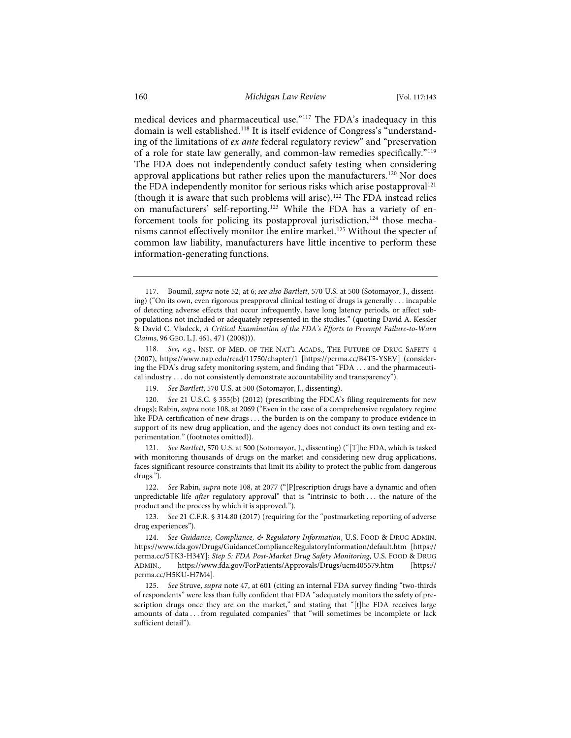medical devices and pharmaceutical use."117 The FDA's inadequacy in this domain is well established.118 It is itself evidence of Congress's "understanding of the limitations of *ex ante* federal regulatory review" and "preservation of a role for state law generally, and common-law remedies specifically."119 The FDA does not independently conduct safety testing when considering approval applications but rather relies upon the manufacturers.<sup>120</sup> Nor does the FDA independently monitor for serious risks which arise postapproval<sup>121</sup> (though it is aware that such problems will arise).122 The FDA instead relies on manufacturers' self-reporting.123 While the FDA has a variety of enforcement tools for policing its postapproval jurisdiction,<sup>124</sup> those mechanisms cannot effectively monitor the entire market.125 Without the specter of common law liability, manufacturers have little incentive to perform these information-generating functions.

<sup>117.</sup> Boumil, *supra* note 52, at 6; *see also Bartlett*, 570 U.S. at 500 (Sotomayor, J., dissenting) ("On its own, even rigorous preapproval clinical testing of drugs is generally . . . incapable of detecting adverse effects that occur infrequently, have long latency periods, or affect subpopulations not included or adequately represented in the studies." (quoting David A. Kessler & David C. Vladeck, *A Critical Examination of the FDA's Efforts to Preempt Failure-to-Warn Claims*, 96 GEO. L.J. 461, 471 (2008))).

<sup>118.</sup> *See, e.g.*, INST. OF MED. OF THE NAT'L ACADS., THE FUTURE OF DRUG SAFETY 4 (2007), https://www.nap.edu/read/11750/chapter/1 [https://perma.cc/B4T5-YSEV] (considering the FDA's drug safety monitoring system, and finding that "FDA . . . and the pharmaceutical industry . . . do not consistently demonstrate accountability and transparency").

<sup>119.</sup> *See Bartlett*, 570 U.S. at 500 (Sotomayor, J., dissenting).

<sup>120.</sup> *See* 21 U.S.C. § 355(b) (2012) (prescribing the FDCA's filing requirements for new drugs); Rabin, *supra* note 108, at 2069 ("Even in the case of a comprehensive regulatory regime like FDA certification of new drugs . . . the burden is on the company to produce evidence in support of its new drug application, and the agency does not conduct its own testing and experimentation." (footnotes omitted)).

<sup>121.</sup> *See Bartlett*, 570 U.S. at 500 (Sotomayor, J., dissenting) ("[T]he FDA, which is tasked with monitoring thousands of drugs on the market and considering new drug applications, faces significant resource constraints that limit its ability to protect the public from dangerous drugs.").

<sup>122.</sup> *See* Rabin, *supra* note 108, at 2077 ("[P]rescription drugs have a dynamic and often unpredictable life *after* regulatory approval" that is "intrinsic to both . . . the nature of the product and the process by which it is approved.").

<sup>123.</sup> *See* 21 C.F.R. § 314.80 (2017) (requiring for the "postmarketing reporting of adverse drug experiences").

<sup>124.</sup> *See Guidance, Compliance, & Regulatory Information*, U.S. FOOD & DRUG ADMIN. https://www.fda.gov/Drugs/GuidanceComplianceRegulatoryInformation/default.htm [https:// perma.cc/5TK3-H34Y]; *Step 5: FDA Post-Market Drug Safety Monitoring*, U.S. FOOD & DRUG ADMIN., https://www.fda.gov/ForPatients/Approvals/Drugs/ucm405579.htm [https:// perma.cc/H5KU-H7M4].

<sup>125.</sup> *See* Struve, *supra* note 47, at 601 (citing an internal FDA survey finding "two-thirds of respondents" were less than fully confident that FDA "adequately monitors the safety of prescription drugs once they are on the market," and stating that "[t]he FDA receives large amounts of data . . . from regulated companies" that "will sometimes be incomplete or lack sufficient detail").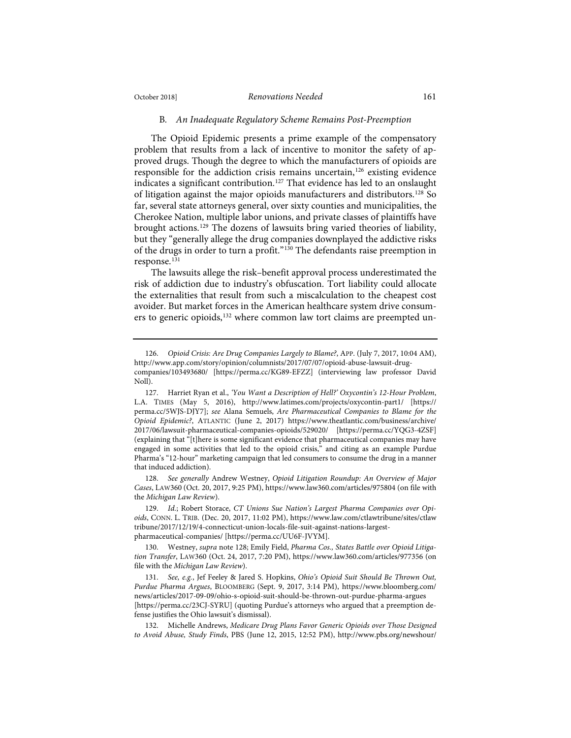## October 2018] *Renovations Needed* 161

#### B*. An Inadequate Regulatory Scheme Remains Post-Preemption*

The Opioid Epidemic presents a prime example of the compensatory problem that results from a lack of incentive to monitor the safety of approved drugs. Though the degree to which the manufacturers of opioids are responsible for the addiction crisis remains uncertain,<sup>126</sup> existing evidence indicates a significant contribution.<sup>127</sup> That evidence has led to an onslaught of litigation against the major opioids manufacturers and distributors.128 So far, several state attorneys general, over sixty counties and municipalities, the Cherokee Nation, multiple labor unions, and private classes of plaintiffs have brought actions.129 The dozens of lawsuits bring varied theories of liability, but they "generally allege the drug companies downplayed the addictive risks of the drugs in order to turn a profit."130 The defendants raise preemption in response.<sup>131</sup>

The lawsuits allege the risk–benefit approval process underestimated the risk of addiction due to industry's obfuscation. Tort liability could allocate the externalities that result from such a miscalculation to the cheapest cost avoider. But market forces in the American healthcare system drive consumers to generic opioids,<sup>132</sup> where common law tort claims are preempted un-

128. *See generally* Andrew Westney, *Opioid Litigation Roundup: An Overview of Major Cases*, LAW360 (Oct. 20, 2017, 9:25 PM), https://www.law360.com/articles/975804 (on file with the *Michigan Law Review*).

<sup>126.</sup> *Opioid Crisis: Are Drug Companies Largely to Blame?*, APP. (July 7, 2017, 10:04 AM), http://www.app.com/story/opinion/columnists/2017/07/07/opioid-abuse-lawsuit-drugcompanies/103493680/ [https://perma.cc/KG89-EFZZ] (interviewing law professor David Noll).

<sup>127.</sup> Harriet Ryan et al., *'You Want a Description of Hell?' Oxycontin's 12-Hour Problem*, L.A. TIMES (May 5, 2016), http://www.latimes.com/projects/oxycontin-part1/ [https:// perma.cc/5WJS-DJY7]; *see* Alana Semuels, *Are Pharmaceutical Companies to Blame for the Opioid Epidemic?*, ATLANTIC (June 2, 2017) https://www.theatlantic.com/business/archive/ 2017/06/lawsuit-pharmaceutical-companies-opioids/529020/ [https://perma.cc/YQG3-4ZSF] (explaining that "[t]here is some significant evidence that pharmaceutical companies may have engaged in some activities that led to the opioid crisis," and citing as an example Purdue Pharma's "12-hour" marketing campaign that led consumers to consume the drug in a manner that induced addiction).

<sup>129.</sup> *Id.*; Robert Storace, *CT Unions Sue Nation's Largest Pharma Companies over Opioids*, CONN. L. TRIB. (Dec. 20, 2017, 11:02 PM), https://www.law.com/ctlawtribune/sites/ctlaw tribune/2017/12/19/4-connecticut-union-locals-file-suit-against-nations-largestpharmaceutical-companies/ [https://perma.cc/UU6F-JVYM].

<sup>130.</sup> Westney, *supra* note 128; Emily Field, *Pharma Cos., States Battle over Opioid Litigation Transfer*, LAW360 (Oct. 24, 2017, 7:20 PM), https://www.law360.com/articles/977356 (on file with the *Michigan Law Review*).

<sup>131.</sup> *See, e.g.*, Jef Feeley & Jared S. Hopkins, *Ohio's Opioid Suit Should Be Thrown Out, Purdue Pharma Argues*, BLOOMBERG (Sept. 9, 2017, 3:14 PM), https://www.bloomberg.com/ news/articles/2017-09-09/ohio-s-opioid-suit-should-be-thrown-out-purdue-pharma-argues [https://perma.cc/23CJ-SYRU] (quoting Purdue's attorneys who argued that a preemption defense justifies the Ohio lawsuit's dismissal).

<sup>132.</sup> Michelle Andrews, *Medicare Drug Plans Favor Generic Opioids over Those Designed to Avoid Abuse, Study Finds*, PBS (June 12, 2015, 12:52 PM), http://www.pbs.org/newshour/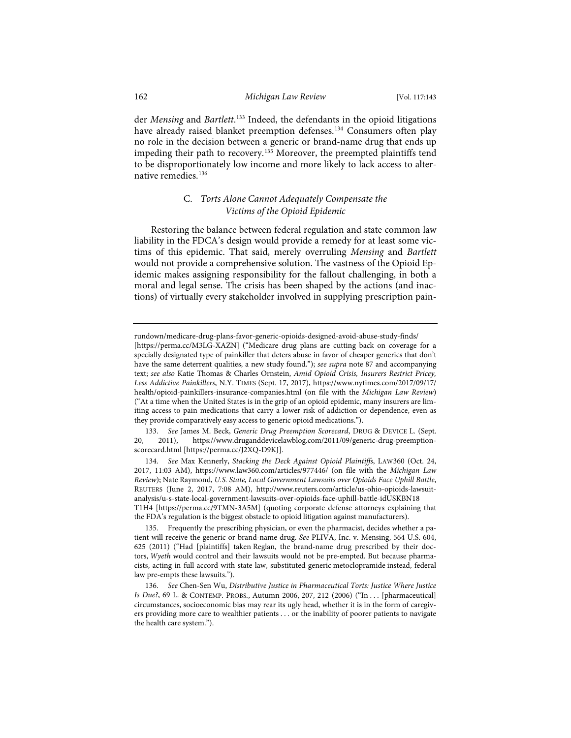## 162 *Michigan Law Review* [Vol. 117:143

der *Mensing* and *Bartlett*. <sup>133</sup> Indeed, the defendants in the opioid litigations have already raised blanket preemption defenses.<sup>134</sup> Consumers often play no role in the decision between a generic or brand-name drug that ends up impeding their path to recovery.<sup>135</sup> Moreover, the preempted plaintiffs tend to be disproportionately low income and more likely to lack access to alternative remedies.136

## C. *Torts Alone Cannot Adequately Compensate the Victims of the Opioid Epidemic*

Restoring the balance between federal regulation and state common law liability in the FDCA's design would provide a remedy for at least some victims of this epidemic. That said, merely overruling *Mensing* and *Bartlett* would not provide a comprehensive solution. The vastness of the Opioid Epidemic makes assigning responsibility for the fallout challenging, in both a moral and legal sense. The crisis has been shaped by the actions (and inactions) of virtually every stakeholder involved in supplying prescription pain-

rundown/medicare-drug-plans-favor-generic-opioids-designed-avoid-abuse-study-finds/

<sup>[</sup>https://perma.cc/M3LG-XAZN] ("Medicare drug plans are cutting back on coverage for a specially designated type of painkiller that deters abuse in favor of cheaper generics that don't have the same deterrent qualities, a new study found."); *see supra* note 87 and accompanying text; *see also* Katie Thomas & Charles Ornstein, *Amid Opioid Crisis, Insurers Restrict Pricey, Less Addictive Painkillers*, N.Y. TIMES (Sept. 17, 2017), https://www.nytimes.com/2017/09/17/ health/opioid-painkillers-insurance-companies.html (on file with the *Michigan Law Review*) ("At a time when the United States is in the grip of an opioid epidemic, many insurers are limiting access to pain medications that carry a lower risk of addiction or dependence, even as they provide comparatively easy access to generic opioid medications.").

<sup>133.</sup> *See* James M. Beck, *Generic Drug Preemption Scorecard*, DRUG & DEVICE L. (Sept. 20, 2011), https://www.druganddevicelawblog.com/2011/09/generic-drug-preemptionscorecard.html [https://perma.cc/J2XQ-D9KJ].

<sup>134.</sup> *See* Max Kennerly, *Stacking the Deck Against Opioid Plaintiffs*, LAW360 (Oct. 24, 2017, 11:03 AM), https://www.law360.com/articles/977446/ (on file with the *Michigan Law Review*); Nate Raymond, *U.S. State, Local Government Lawsuits over Opioids Face Uphill Battle*, REUTERS (June 2, 2017, 7:08 AM), http://www.reuters.com/article/us-ohio-opioids-lawsuitanalysis/u-s-state-local-government-lawsuits-over-opioids-face-uphill-battle-idUSKBN18 T1H4 [https://perma.cc/9TMN-3A5M] (quoting corporate defense attorneys explaining that the FDA's regulation is the biggest obstacle to opioid litigation against manufacturers).

<sup>135.</sup> Frequently the prescribing physician, or even the pharmacist, decides whether a patient will receive the generic or brand-name drug. *See* PLIVA, Inc. v. Mensing, 564 U.S. 604, 625 (2011) ("Had [plaintiffs] taken Reglan, the brand-name drug prescribed by their doctors, *Wyeth* would control and their lawsuits would not be pre-empted. But because pharmacists, acting in full accord with state law, substituted generic metoclopramide instead, federal law pre-empts these lawsuits.").

<sup>136.</sup> *See* Chen-Sen Wu, *Distributive Justice in Pharmaceutical Torts: Justice Where Justice Is Due?*, 69 L. & CONTEMP. PROBS., Autumn 2006, 207, 212 (2006) ("In . . . [pharmaceutical] circumstances, socioeconomic bias may rear its ugly head, whether it is in the form of caregivers providing more care to wealthier patients . . . or the inability of poorer patients to navigate the health care system.").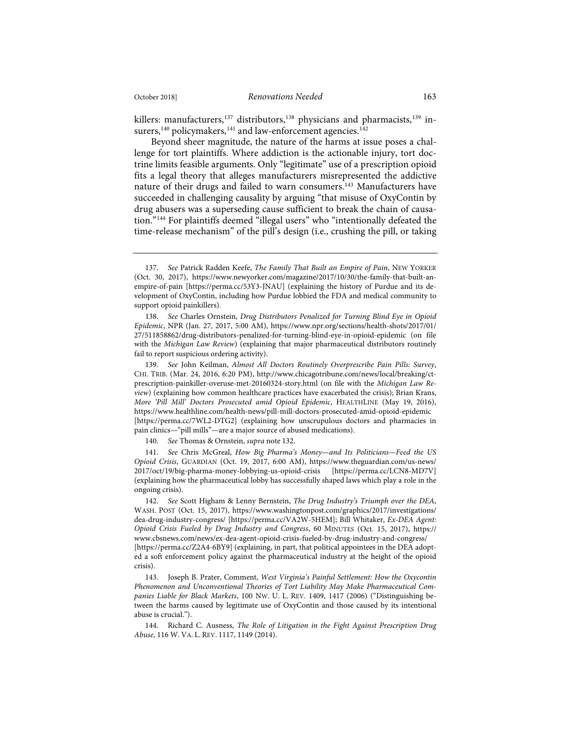killers: manufacturers, $137$  distributors, $138$  physicians and pharmacists, $139$  insurers,  $^{\rm 140}$  policymakers,  $^{\rm 141}$  and law-enforcement agencies.  $^{\rm 142}$ 

Beyond sheer magnitude, the nature of the harms at issue poses a challenge for tort plaintiffs. Where addiction is the actionable injury, tort doctrine limits feasible arguments. Only "legitimate" use of a prescription opioid fits a legal theory that alleges manufacturers misrepresented the addictive nature of their drugs and failed to warn consumers.143 Manufacturers have succeeded in challenging causality by arguing "that misuse of OxyContin by drug abusers was a superseding cause sufficient to break the chain of causation."144 For plaintiffs deemed "illegal users" who "intentionally defeated the time-release mechanism" of the pill's design (i.e., crushing the pill, or taking

138. *See* Charles Ornstein, *Drug Distributors Penalized for Turning Blind Eye in Opioid Epidemic*, NPR (Jan. 27, 2017, 5:00 AM), https://www.npr.org/sections/health-shots/2017/01/ 27/511858862/drug-distributors-penalized-for-turning-blind-eye-in-opioid-epidemic (on file with the *Michigan Law Review*) (explaining that major pharmaceutical distributors routinely fail to report suspicious ordering activity).

139. *See* John Keilman, *Almost All Doctors Routinely Overprescribe Pain Pills: Survey*, CHI. TRIB. (Mar. 24, 2016, 6:20 PM), http://www.chicagotribune.com/news/local/breaking/ctprescription-painkiller-overuse-met-20160324-story.html (on file with the *Michigan Law Review*) (explaining how common healthcare practices have exacerbated the crisis); Brian Krans, *More 'Pill Mill' Doctors Prosecuted amid Opioid Epidemic*, HEALTHLINE (May 19, 2016), https://www.healthline.com/health-news/pill-mill-doctors-prosecuted-amid-opioid-epidemic [https://perma.cc/7WL2-DTG2] (explaining how unscrupulous doctors and pharmacies in pain clinics—"pill mills"—are a major source of abused medications).

140. *See* Thomas & Ornstein, *supra* note 132.

141. *See* Chris McGreal, *How Big Pharma's Money—and Its Politicians—Feed the US Opioid Crisis*, GUARDIAN (Oct. 19, 2017, 6:00 AM), https://www.theguardian.com/us-news/ 2017/oct/19/big-pharma-money-lobbying-us-opioid-crisis [https://perma.cc/LCN8-MD7V] (explaining how the pharmaceutical lobby has successfully shaped laws which play a role in the ongoing crisis).

142. *See* Scott Higham & Lenny Bernstein, *The Drug Industry's Triumph over the DEA*, WASH. POST (Oct. 15, 2017), https://www.washingtonpost.com/graphics/2017/investigations/ dea-drug-industry-congress/ [https://perma.cc/VA2W-5HEM]; Bill Whitaker, *Ex-DEA Agent: Opioid Crisis Fueled by Drug Industry and Congress*, 60 MINUTES (Oct. 15, 2017), https:// www.cbsnews.com/news/ex-dea-agent-opioid-crisis-fueled-by-drug-industry-and-congress/ [https://perma.cc/Z2A4-6BY9] (explaining, in part, that political appointees in the DEA adopt-

ed a soft enforcement policy against the pharmaceutical industry at the height of the opioid crisis).

143. Joseph B. Prater, Comment, *West Virginia's Painful Settlement: How the Oxycontin Phenomenon and Unconventional Theories of Tort Liability May Make Pharmaceutical Companies Liable for Black Markets*, 100 NW. U. L. REV. 1409, 1417 (2006) ("Distinguishing between the harms caused by legitimate use of OxyContin and those caused by its intentional abuse is crucial.").

144. Richard C. Ausness, *The Role of Litigation in the Fight Against Prescription Drug Abuse*, 116 W. VA. L. REV. 1117, 1149 (2014).

<sup>137.</sup> *See* Patrick Radden Keefe, *The Family That Built an Empire of Pain*, NEW YORKER (Oct. 30, 2017), https://www.newyorker.com/magazine/2017/10/30/the-family-that-built-anempire-of-pain [https://perma.cc/53Y3-JNAU] (explaining the history of Purdue and its development of OxyContin, including how Purdue lobbied the FDA and medical community to support opioid painkillers).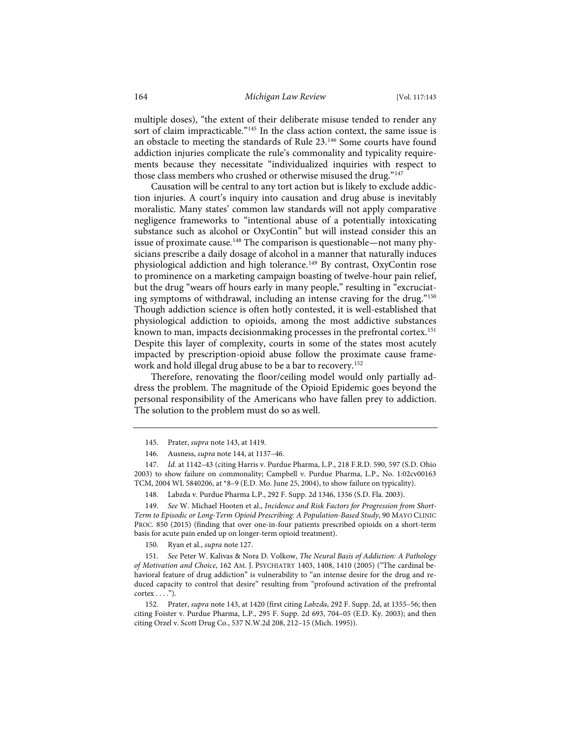multiple doses), "the extent of their deliberate misuse tended to render any sort of claim impracticable."<sup>145</sup> In the class action context, the same issue is an obstacle to meeting the standards of Rule 23.146 Some courts have found addiction injuries complicate the rule's commonality and typicality requirements because they necessitate "individualized inquiries with respect to those class members who crushed or otherwise misused the drug."<sup>147</sup>

Causation will be central to any tort action but is likely to exclude addiction injuries. A court's inquiry into causation and drug abuse is inevitably moralistic. Many states' common law standards will not apply comparative negligence frameworks to "intentional abuse of a potentially intoxicating substance such as alcohol or OxyContin" but will instead consider this an issue of proximate cause.<sup>148</sup> The comparison is questionable—not many physicians prescribe a daily dosage of alcohol in a manner that naturally induces physiological addiction and high tolerance.<sup>149</sup> By contrast, OxyContin rose to prominence on a marketing campaign boasting of twelve-hour pain relief, but the drug "wears off hours early in many people," resulting in "excruciating symptoms of withdrawal, including an intense craving for the drug."150 Though addiction science is often hotly contested, it is well-established that physiological addiction to opioids, among the most addictive substances known to man, impacts decisionmaking processes in the prefrontal cortex.<sup>151</sup> Despite this layer of complexity, courts in some of the states most acutely impacted by prescription-opioid abuse follow the proximate cause framework and hold illegal drug abuse to be a bar to recovery.<sup>152</sup>

Therefore, renovating the floor/ceiling model would only partially address the problem. The magnitude of the Opioid Epidemic goes beyond the personal responsibility of the Americans who have fallen prey to addiction. The solution to the problem must do so as well.

147. *Id.* at 1142–43 (citing Harris v. Purdue Pharma, L.P., 218 F.R.D. 590, 597 (S.D. Ohio 2003) to show failure on commonality; Campbell v. Purdue Pharma, L.P., No. 1:02cv00163 TCM, 2004 WL 5840206, at \*8–9 (E.D. Mo. June 25, 2004), to show failure on typicality).

149. *See* W. Michael Hooten et al., *Incidence and Risk Factors for Progression from Short-Term to Episodic or Long-Term Opioid Prescribing: A Population-Based Study*, 90 MAYO CLINIC PROC. 850 (2015) (finding that over one-in-four patients prescribed opioids on a short-term basis for acute pain ended up on longer-term opioid treatment).

150. Ryan et al., *supra* note 127.

151. *See* Peter W. Kalivas & Nora D. Volkow, *The Neural Basis of Addiction: A Pathology of Motivation and Choice*, 162 AM. J. PSYCHIATRY 1403, 1408, 1410 (2005) ("The cardinal behavioral feature of drug addiction" is vulnerability to "an intense desire for the drug and reduced capacity to control that desire" resulting from "profound activation of the prefrontal  $cortex \dots$ ").

152. Prater, *supra* note 143, at 1420 (first citing *Labzda*, 292 F. Supp. 2d, at 1355–56; then citing Foister v. Purdue Pharma, L.P., 295 F. Supp. 2d 693, 704–05 (E.D. Ky. 2003); and then citing Orzel v. Scott Drug Co., 537 N.W.2d 208, 212–15 (Mich. 1995)).

<sup>145.</sup> Prater, *supra* note 143, at 1419.

<sup>146.</sup> Ausness, *supra* note 144, at 1137–46.

<sup>148.</sup> Labzda v. Purdue Pharma L.P., 292 F. Supp. 2d 1346, 1356 (S.D. Fla. 2003).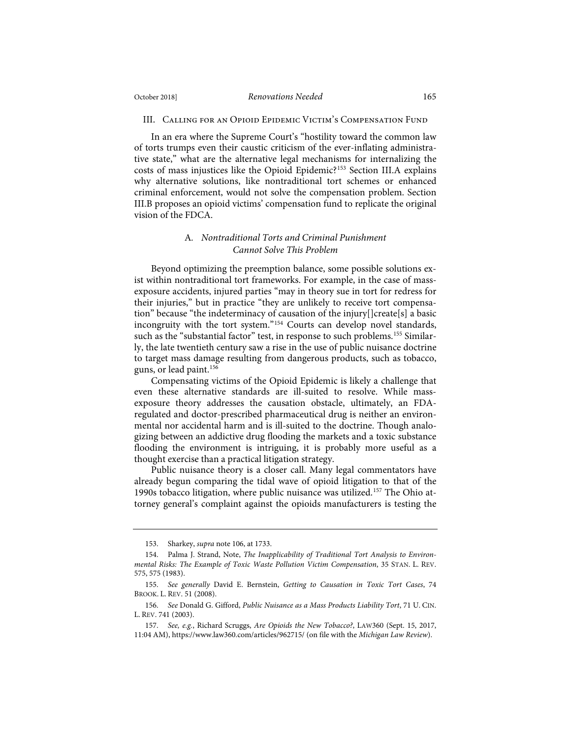#### III. Calling for an Opioid Epidemic Victim's Compensation Fund

In an era where the Supreme Court's "hostility toward the common law of torts trumps even their caustic criticism of the ever-inflating administrative state," what are the alternative legal mechanisms for internalizing the costs of mass injustices like the Opioid Epidemic?153 Section III.A explains why alternative solutions, like nontraditional tort schemes or enhanced criminal enforcement, would not solve the compensation problem. Section III.B proposes an opioid victims' compensation fund to replicate the original vision of the FDCA.

## A*. Nontraditional Torts and Criminal Punishment Cannot Solve This Problem*

Beyond optimizing the preemption balance, some possible solutions exist within nontraditional tort frameworks. For example, in the case of massexposure accidents, injured parties "may in theory sue in tort for redress for their injuries," but in practice "they are unlikely to receive tort compensation" because "the indeterminacy of causation of the injury[]create[s] a basic incongruity with the tort system."154 Courts can develop novel standards, such as the "substantial factor" test, in response to such problems.<sup>155</sup> Similarly, the late twentieth century saw a rise in the use of public nuisance doctrine to target mass damage resulting from dangerous products, such as tobacco, guns, or lead paint.156

Compensating victims of the Opioid Epidemic is likely a challenge that even these alternative standards are ill-suited to resolve. While massexposure theory addresses the causation obstacle, ultimately, an FDAregulated and doctor-prescribed pharmaceutical drug is neither an environmental nor accidental harm and is ill-suited to the doctrine. Though analogizing between an addictive drug flooding the markets and a toxic substance flooding the environment is intriguing, it is probably more useful as a thought exercise than a practical litigation strategy.

Public nuisance theory is a closer call. Many legal commentators have already begun comparing the tidal wave of opioid litigation to that of the 1990s tobacco litigation, where public nuisance was utilized.157 The Ohio attorney general's complaint against the opioids manufacturers is testing the

<sup>153.</sup> Sharkey, *supra* note 106, at 1733.

<sup>154.</sup> Palma J. Strand, Note, *The Inapplicability of Traditional Tort Analysis to Environmental Risks: The Example of Toxic Waste Pollution Victim Compensation*, 35 STAN. L. REV. 575, 575 (1983).

<sup>155.</sup> *See generally* David E. Bernstein, *Getting to Causation in Toxic Tort Cases*, 74 BROOK. L. REV. 51 (2008).

<sup>156.</sup> *See* Donald G. Gifford, *Public Nuisance as a Mass Products Liability Tort*, 71 U. CIN. L. REV. 741 (2003).

<sup>157.</sup> *See, e.g.*, Richard Scruggs, *Are Opioids the New Tobacco?*, LAW360 (Sept. 15, 2017, 11:04 AM), https://www.law360.com/articles/962715/ (on file with the *Michigan Law Review*).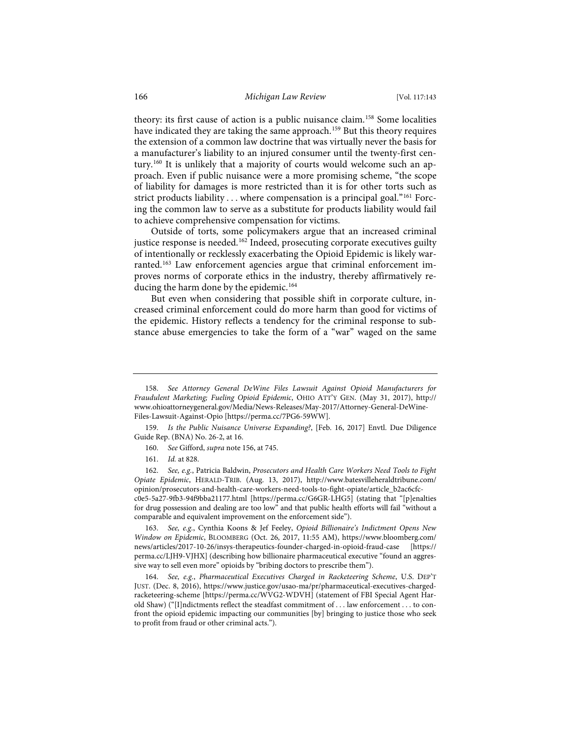theory: its first cause of action is a public nuisance claim.158 Some localities have indicated they are taking the same approach.<sup>159</sup> But this theory requires the extension of a common law doctrine that was virtually never the basis for a manufacturer's liability to an injured consumer until the twenty-first century.160 It is unlikely that a majority of courts would welcome such an approach. Even if public nuisance were a more promising scheme, "the scope of liability for damages is more restricted than it is for other torts such as strict products liability ... where compensation is a principal goal."<sup>161</sup> Forcing the common law to serve as a substitute for products liability would fail to achieve comprehensive compensation for victims.

Outside of torts, some policymakers argue that an increased criminal justice response is needed.<sup>162</sup> Indeed, prosecuting corporate executives guilty of intentionally or recklessly exacerbating the Opioid Epidemic is likely warranted.163 Law enforcement agencies argue that criminal enforcement improves norms of corporate ethics in the industry, thereby affirmatively reducing the harm done by the epidemic.<sup>164</sup>

But even when considering that possible shift in corporate culture, increased criminal enforcement could do more harm than good for victims of the epidemic. History reflects a tendency for the criminal response to substance abuse emergencies to take the form of a "war" waged on the same

- 160. *See* Gifford, *supra* note 156, at 745.
- 161. *Id.* at 828.

162. *See, e.g.*, Patricia Baldwin, *Prosecutors and Health Care Workers Need Tools to Fight Opiate Epidemic*, HERALD-TRIB. (Aug. 13, 2017), http://www.batesvilleheraldtribune.com/ opinion/prosecutors-and-health-care-workers-need-tools-to-fight-opiate/article\_b2ac6cfc-

c0e5-5a27-9fb3-94f9bba21177.html [https://perma.cc/G6GR-LHG5] (stating that "[p]enalties for drug possession and dealing are too low" and that public health efforts will fail "without a comparable and equivalent improvement on the enforcement side").

163. *See, e.g.*, Cynthia Koons & Jef Feeley, *Opioid Billionaire's Indictment Opens New Window on Epidemic*, BLOOMBERG (Oct. 26, 2017, 11:55 AM), https://www.bloomberg.com/ news/articles/2017-10-26/insys-therapeutics-founder-charged-in-opioid-fraud-case [https:// perma.cc/LJH9-VJHX] (describing how billionaire pharmaceutical executive "found an aggressive way to sell even more" opioids by "bribing doctors to prescribe them").

164. *See, e.g.*, *Pharmaceutical Executives Charged in Racketeering Scheme*, U.S. DEP'T JUST. (Dec. 8, 2016), https://www.justice.gov/usao-ma/pr/pharmaceutical-executives-chargedracketeering-scheme [https://perma.cc/WVG2-WDVH] (statement of FBI Special Agent Harold Shaw) ("[I]ndictments reflect the steadfast commitment of . . . law enforcement . . . to confront the opioid epidemic impacting our communities [by] bringing to justice those who seek to profit from fraud or other criminal acts.").

<sup>158.</sup> *See Attorney General DeWine Files Lawsuit Against Opioid Manufacturers for Fraudulent Marketing; Fueling Opioid Epidemic*, OHIO ATT'Y GEN. (May 31, 2017), http:// www.ohioattorneygeneral.gov/Media/News-Releases/May-2017/Attorney-General-DeWine-Files-Lawsuit-Against-Opio [https://perma.cc/7PG6-59WW].

<sup>159.</sup> *Is the Public Nuisance Universe Expanding?*, [Feb. 16, 2017] Envtl. Due Diligence Guide Rep. (BNA) No. 26-2, at 16.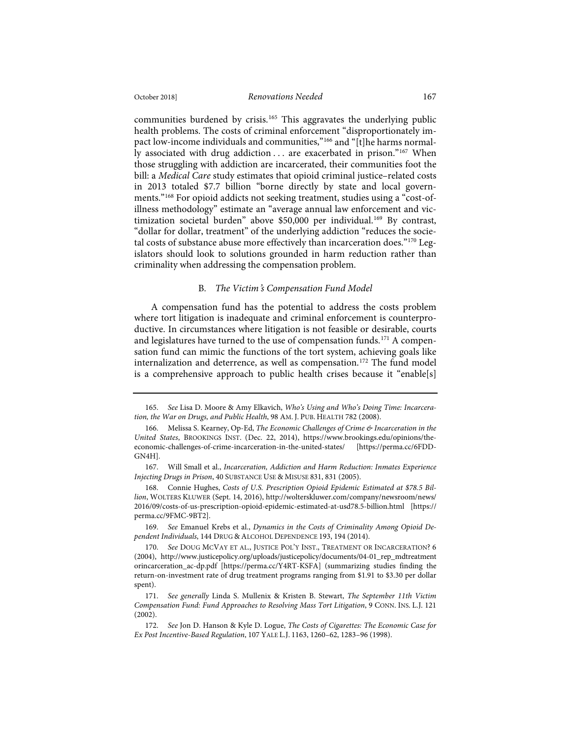## October 2018] *Renovations Needed* 167

communities burdened by crisis.<sup>165</sup> This aggravates the underlying public health problems. The costs of criminal enforcement "disproportionately impact low-income individuals and communities,"<sup>166</sup> and "[t]he harms normally associated with drug addiction ... are exacerbated in prison."<sup>167</sup> When those struggling with addiction are incarcerated, their communities foot the

bill: a *Medical Care* study estimates that opioid criminal justice–related costs in 2013 totaled \$7.7 billion "borne directly by state and local governments."168 For opioid addicts not seeking treatment, studies using a "cost-ofillness methodology" estimate an "average annual law enforcement and victimization societal burden" above \$50,000 per individual.<sup>169</sup> By contrast, "dollar for dollar, treatment" of the underlying addiction "reduces the societal costs of substance abuse more effectively than incarceration does."<sup>170</sup> Legislators should look to solutions grounded in harm reduction rather than criminality when addressing the compensation problem.

## B*. The Victim*'*s Compensation Fund Model*

A compensation fund has the potential to address the costs problem where tort litigation is inadequate and criminal enforcement is counterproductive. In circumstances where litigation is not feasible or desirable, courts and legislatures have turned to the use of compensation funds.<sup>171</sup> A compensation fund can mimic the functions of the tort system, achieving goals like internalization and deterrence, as well as compensation.<sup>172</sup> The fund model is a comprehensive approach to public health crises because it "enable[s]

<sup>165.</sup> *See* Lisa D. Moore & Amy Elkavich, *Who's Using and Who's Doing Time: Incarceration, the War on Drugs, and Public Health*, 98 AM. J. PUB. HEALTH 782 (2008).

<sup>166.</sup> Melissa S. Kearney, Op-Ed, *The Economic Challenges of Crime & Incarceration in the United States*, BROOKINGS INST. (Dec. 22, 2014), https://www.brookings.edu/opinions/theeconomic-challenges-of-crime-incarceration-in-the-united-states/ [https://perma.cc/6FDD-GN4H].

<sup>167.</sup> Will Small et al., *Incarceration, Addiction and Harm Reduction: Inmates Experience Injecting Drugs in Prison*, 40 SUBSTANCE USE & MISUSE 831, 831 (2005).

<sup>168.</sup> Connie Hughes, *Costs of U.S. Prescription Opioid Epidemic Estimated at \$78.5 Billion*, WOLTERS KLUWER (Sept. 14, 2016), http://wolterskluwer.com/company/newsroom/news/ 2016/09/costs-of-us-prescription-opioid-epidemic-estimated-at-usd78.5-billion.html [https:// perma.cc/9FMC-9BT2].

<sup>169.</sup> *See* Emanuel Krebs et al., *Dynamics in the Costs of Criminality Among Opioid Dependent Individuals*, 144 DRUG & ALCOHOL DEPENDENCE 193, 194 (2014).

<sup>170.</sup> *See* DOUG MCVAY ET AL., JUSTICE POL'Y INST., TREATMENT OR INCARCERATION? 6 (2004), http://www.justicepolicy.org/uploads/justicepolicy/documents/04-01\_rep\_mdtreatment orincarceration\_ac-dp.pdf [https://perma.cc/Y4RT-KSFA] (summarizing studies finding the return-on-investment rate of drug treatment programs ranging from \$1.91 to \$3.30 per dollar spent).

<sup>171.</sup> *See generally* Linda S. Mullenix & Kristen B. Stewart, *The September 11th Victim Compensation Fund: Fund Approaches to Resolving Mass Tort Litigation*, 9 CONN. INS. L.J. 121 (2002).

<sup>172.</sup> *See* Jon D. Hanson & Kyle D. Logue, *The Costs of Cigarettes: The Economic Case for Ex Post Incentive-Based Regulation*, 107 YALE L.J. 1163, 1260–62, 1283–96 (1998).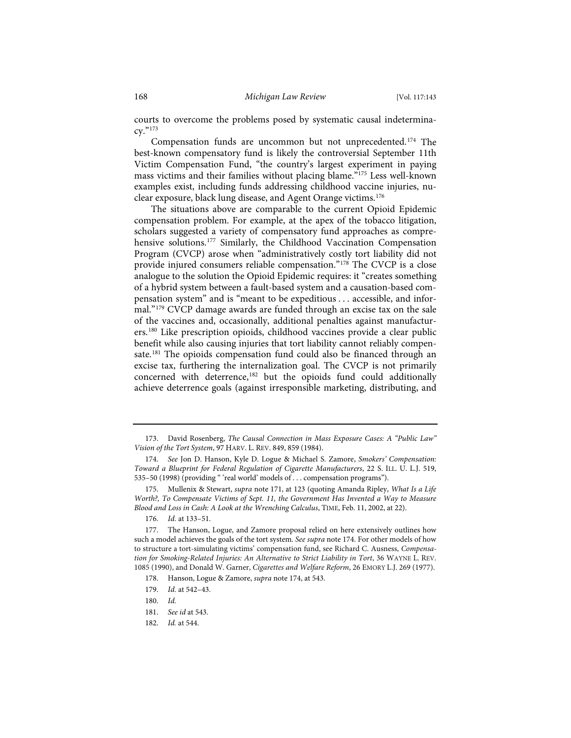courts to overcome the problems posed by systematic causal indeterminacy."173

Compensation funds are uncommon but not unprecedented.174 The best-known compensatory fund is likely the controversial September 11th Victim Compensation Fund, "the country's largest experiment in paying mass victims and their families without placing blame."175 Less well-known examples exist, including funds addressing childhood vaccine injuries, nuclear exposure, black lung disease, and Agent Orange victims.176

The situations above are comparable to the current Opioid Epidemic compensation problem. For example, at the apex of the tobacco litigation, scholars suggested a variety of compensatory fund approaches as comprehensive solutions.<sup>177</sup> Similarly, the Childhood Vaccination Compensation Program (CVCP) arose when "administratively costly tort liability did not provide injured consumers reliable compensation."178 The CVCP is a close analogue to the solution the Opioid Epidemic requires: it "creates something of a hybrid system between a fault-based system and a causation-based compensation system" and is "meant to be expeditious . . . accessible, and informal."179 CVCP damage awards are funded through an excise tax on the sale of the vaccines and, occasionally, additional penalties against manufacturers.180 Like prescription opioids, childhood vaccines provide a clear public benefit while also causing injuries that tort liability cannot reliably compensate.<sup>181</sup> The opioids compensation fund could also be financed through an excise tax, furthering the internalization goal. The CVCP is not primarily concerned with deterrence,182 but the opioids fund could additionally achieve deterrence goals (against irresponsible marketing, distributing, and

<sup>173.</sup> David Rosenberg, *The Causal Connection in Mass Exposure Cases: A "Public Law" Vision of the Tort System*, 97 HARV. L. REV. 849, 859 (1984).

<sup>174.</sup> *See* Jon D. Hanson, Kyle D. Logue & Michael S. Zamore, *Smokers' Compensation: Toward a Blueprint for Federal Regulation of Cigarette Manufacturers*, 22 S. ILL. U. L.J. 519, 535–50 (1998) (providing " 'real world' models of . . . compensation programs").

<sup>175.</sup> Mullenix & Stewart, *supra* note 171, at 123 (quoting Amanda Ripley, *What Is a Life Worth?, To Compensate Victims of Sept. 11, the Government Has Invented a Way to Measure Blood and Loss in Cash: A Look at the Wrenching Calculus*, TIME, Feb. 11, 2002, at 22).

<sup>176.</sup> *Id.* at 133–51.

<sup>177.</sup> The Hanson, Logue, and Zamore proposal relied on here extensively outlines how such a model achieves the goals of the tort system. *See supra* note 174. For other models of how to structure a tort-simulating victims' compensation fund, see Richard C. Ausness, *Compensation for Smoking-Related Injuries: An Alternative to Strict Liability in Tort*, 36 WAYNE L. REV. 1085 (1990), and Donald W. Garner, *Cigarettes and Welfare Reform*, 26 EMORY L.J. 269 (1977).

<sup>178.</sup> Hanson, Logue & Zamore, *supra* note 174, at 543.

<sup>179.</sup> *Id.* at 542–43.

<sup>180.</sup> *Id.*

<sup>181.</sup> *See id* at 543.

<sup>182.</sup> *Id.* at 544.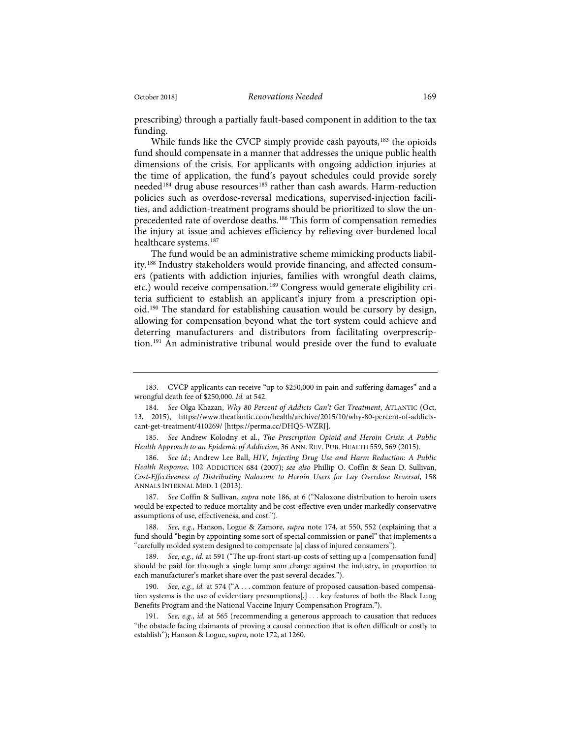prescribing) through a partially fault-based component in addition to the tax funding.

While funds like the CVCP simply provide cash payouts,<sup>183</sup> the opioids fund should compensate in a manner that addresses the unique public health dimensions of the crisis. For applicants with ongoing addiction injuries at the time of application, the fund's payout schedules could provide sorely needed<sup>184</sup> drug abuse resources<sup>185</sup> rather than cash awards. Harm-reduction policies such as overdose-reversal medications, supervised-injection facilities, and addiction-treatment programs should be prioritized to slow the unprecedented rate of overdose deaths.<sup>186</sup> This form of compensation remedies the injury at issue and achieves efficiency by relieving over-burdened local healthcare systems.187

The fund would be an administrative scheme mimicking products liability.188 Industry stakeholders would provide financing, and affected consumers (patients with addiction injuries, families with wrongful death claims, etc.) would receive compensation.<sup>189</sup> Congress would generate eligibility criteria sufficient to establish an applicant's injury from a prescription opioid.190 The standard for establishing causation would be cursory by design, allowing for compensation beyond what the tort system could achieve and deterring manufacturers and distributors from facilitating overprescription.<sup>191</sup> An administrative tribunal would preside over the fund to evaluate

187. *See* Coffin & Sullivan, *supra* note 186, at 6 ("Naloxone distribution to heroin users would be expected to reduce mortality and be cost-effective even under markedly conservative assumptions of use, effectiveness, and cost.").

188. *See, e.g.*, Hanson, Logue & Zamore, *supra* note 174, at 550, 552 (explaining that a fund should "begin by appointing some sort of special commission or panel" that implements a "carefully molded system designed to compensate [a] class of injured consumers").

189. *See, e.g.*, *id.* at 591 ("The up-front start-up costs of setting up a [compensation fund] should be paid for through a single lump sum charge against the industry, in proportion to each manufacturer's market share over the past several decades.").

190. *See, e.g.*, *id.* at 574 ("A . . . common feature of proposed causation-based compensation systems is the use of evidentiary presumptions[,] . . . key features of both the Black Lung Benefits Program and the National Vaccine Injury Compensation Program.").

191. *See, e.g.*, *id.* at 565 (recommending a generous approach to causation that reduces "the obstacle facing claimants of proving a causal connection that is often difficult or costly to establish"); Hanson & Logue, *supra*, note 172, at 1260.

<sup>183.</sup> CVCP applicants can receive "up to \$250,000 in pain and suffering damages" and a wrongful death fee of \$250,000. *Id.* at 542.

<sup>184.</sup> *See* Olga Khazan, *Why 80 Percent of Addicts Can't Get Treatment*, ATLANTIC (Oct. 13, 2015), https://www.theatlantic.com/health/archive/2015/10/why-80-percent-of-addictscant-get-treatment/410269/ [https://perma.cc/DHQ5-WZRJ].

<sup>185.</sup> *See* Andrew Kolodny et al., *The Prescription Opioid and Heroin Crisis: A Public Health Approach to an Epidemic of Addiction*, 36 ANN. REV. PUB. HEALTH 559, 569 (2015).

<sup>186.</sup> *See id.*; Andrew Lee Ball, *HIV, Injecting Drug Use and Harm Reduction: A Public Health Response*, 102 ADDICTION 684 (2007); *see also* Phillip O. Coffin & Sean D. Sullivan, *Cost-Effectiveness of Distributing Naloxone to Heroin Users for Lay Overdose Reversal*, 158 ANNALS INTERNAL MED. 1 (2013).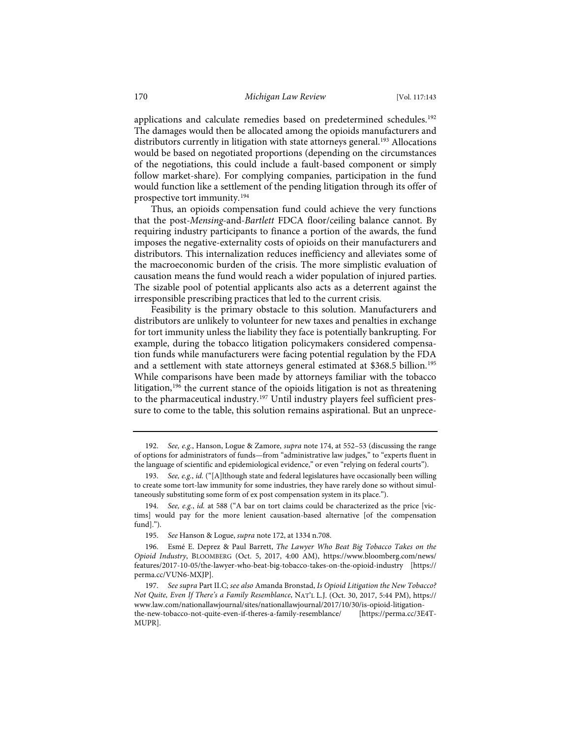applications and calculate remedies based on predetermined schedules.<sup>192</sup> The damages would then be allocated among the opioids manufacturers and distributors currently in litigation with state attorneys general.<sup>193</sup> Allocations would be based on negotiated proportions (depending on the circumstances of the negotiations, this could include a fault-based component or simply follow market-share). For complying companies, participation in the fund would function like a settlement of the pending litigation through its offer of prospective tort immunity.194

Thus, an opioids compensation fund could achieve the very functions that the post-*Mensing*-and-*Bartlett* FDCA floor/ceiling balance cannot. By requiring industry participants to finance a portion of the awards, the fund imposes the negative-externality costs of opioids on their manufacturers and distributors. This internalization reduces inefficiency and alleviates some of the macroeconomic burden of the crisis. The more simplistic evaluation of causation means the fund would reach a wider population of injured parties. The sizable pool of potential applicants also acts as a deterrent against the irresponsible prescribing practices that led to the current crisis.

Feasibility is the primary obstacle to this solution. Manufacturers and distributors are unlikely to volunteer for new taxes and penalties in exchange for tort immunity unless the liability they face is potentially bankrupting. For example, during the tobacco litigation policymakers considered compensation funds while manufacturers were facing potential regulation by the FDA and a settlement with state attorneys general estimated at \$368.5 billion.<sup>195</sup> While comparisons have been made by attorneys familiar with the tobacco litigation,<sup>196</sup> the current stance of the opioids litigation is not as threatening to the pharmaceutical industry.<sup>197</sup> Until industry players feel sufficient pressure to come to the table, this solution remains aspirational. But an unprece-

<sup>192.</sup> *See, e.g.*, Hanson, Logue & Zamore, *supra* note 174, at 552–53 (discussing the range of options for administrators of funds—from "administrative law judges," to "experts fluent in the language of scientific and epidemiological evidence," or even "relying on federal courts").

<sup>193.</sup> *See, e.g.*, *id.* ("[A]lthough state and federal legislatures have occasionally been willing to create some tort-law immunity for some industries, they have rarely done so without simultaneously substituting some form of ex post compensation system in its place.").

<sup>194.</sup> *See, e.g.*, *id.* at 588 ("A bar on tort claims could be characterized as the price [victims] would pay for the more lenient causation-based alternative [of the compensation fund].").

<sup>195.</sup> *See* Hanson & Logue, *supra* note 172, at 1334 n.708.

<sup>196.</sup> Esmé E. Deprez & Paul Barrett, *The Lawyer Who Beat Big Tobacco Takes on the Opioid Industry*, BLOOMBERG (Oct. 5, 2017, 4:00 AM), https://www.bloomberg.com/news/ features/2017-10-05/the-lawyer-who-beat-big-tobacco-takes-on-the-opioid-industry [https:// perma.cc/VUN6-MXJP].

<sup>197.</sup> *See supra* Part II.C; *see also* Amanda Bronstad, *Is Opioid Litigation the New Tobacco? Not Quite, Even If There's a Family Resemblance*, NAT'L L.J. (Oct. 30, 2017, 5:44 PM), https:// www.law.com/nationallawjournal/sites/nationallawjournal/2017/10/30/is-opioid-litigationthe-new-tobacco-not-quite-even-if-theres-a-family-resemblance/ [https://perma.cc/3E4T-MUPR].